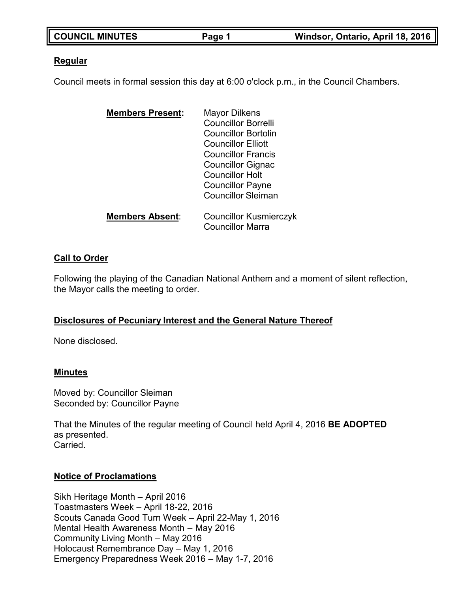| <b>COUNCIL MINUTES</b> | Page 1 | Windsor, Ontario, April 18, 2016 |
|------------------------|--------|----------------------------------|

### **Regular**

Council meets in formal session this day at 6:00 o'clock p.m., in the Council Chambers.

| <b>Members Present:</b> | <b>Mayor Dilkens</b>          |
|-------------------------|-------------------------------|
|                         | <b>Councillor Borrelli</b>    |
|                         | Councillor Bortolin           |
|                         | <b>Councillor Elliott</b>     |
|                         | <b>Councillor Francis</b>     |
|                         | <b>Councillor Gignac</b>      |
|                         | <b>Councillor Holt</b>        |
|                         | <b>Councillor Payne</b>       |
|                         | <b>Councillor Sleiman</b>     |
| <b>Members Absent:</b>  | <b>Councillor Kusmierczyk</b> |
|                         | <b>Councillor Marra</b>       |

# **Call to Order**

Following the playing of the Canadian National Anthem and a moment of silent reflection, the Mayor calls the meeting to order.

# **Disclosures of Pecuniary Interest and the General Nature Thereof**

None disclosed.

#### **Minutes**

Moved by: Councillor Sleiman Seconded by: Councillor Payne

That the Minutes of the regular meeting of Council held April 4, 2016 **BE ADOPTED** as presented. Carried.

#### **Notice of Proclamations**

Sikh Heritage Month – April 2016 Toastmasters Week – April 18-22, 2016 Scouts Canada Good Turn Week – April 22-May 1, 2016 Mental Health Awareness Month – May 2016 Community Living Month – May 2016 Holocaust Remembrance Day – May 1, 2016 Emergency Preparedness Week 2016 – May 1-7, 2016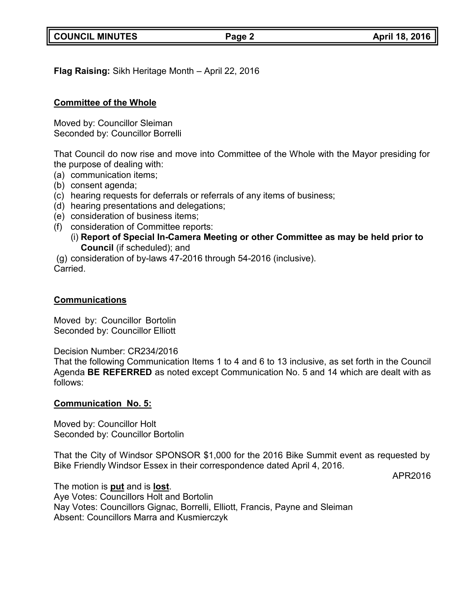**COUNCIL MINUTES Page 2 April 18, 2016**

**Flag Raising:** Sikh Heritage Month – April 22, 2016

# **Committee of the Whole**

Moved by: Councillor Sleiman Seconded by: Councillor Borrelli

That Council do now rise and move into Committee of the Whole with the Mayor presiding for the purpose of dealing with:

- (a) communication items;
- (b) consent agenda;
- (c) hearing requests for deferrals or referrals of any items of business;
- (d) hearing presentations and delegations;
- (e) consideration of business items;
- (f) consideration of Committee reports:
	- (i) **Report of Special In-Camera Meeting or other Committee as may be held prior to Council** (if scheduled); and

(g) consideration of by-laws 47-2016 through 54-2016 (inclusive).

Carried.

# **Communications**

Moved by: Councillor Bortolin Seconded by: Councillor Elliott

Decision Number: CR234/2016

That the following Communication Items 1 to 4 and 6 to 13 inclusive, as set forth in the Council Agenda **BE REFERRED** as noted except Communication No. 5 and 14 which are dealt with as follows:

# **Communication No. 5:**

Moved by: Councillor Holt Seconded by: Councillor Bortolin

That the City of Windsor SPONSOR \$1,000 for the 2016 Bike Summit event as requested by Bike Friendly Windsor Essex in their correspondence dated April 4, 2016.

APR2016

The motion is **put** and is **lost**.

Aye Votes: Councillors Holt and Bortolin Nay Votes: Councillors Gignac, Borrelli, Elliott, Francis, Payne and Sleiman Absent: Councillors Marra and Kusmierczyk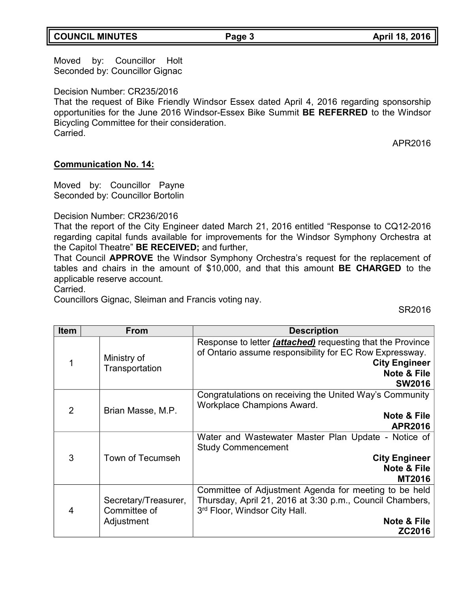# **COUNCIL MINUTES Page 3 April 18, 2016**

Moved by: Councillor Holt Seconded by: Councillor Gignac

Decision Number: CR235/2016

That the request of Bike Friendly Windsor Essex dated April 4, 2016 regarding sponsorship opportunities for the June 2016 Windsor-Essex Bike Summit **BE REFERRED** to the Windsor Bicycling Committee for their consideration. Carried.

APR2016

#### **Communication No. 14:**

Moved by: Councillor Payne Seconded by: Councillor Bortolin

#### Decision Number: CR236/2016

That the report of the City Engineer dated March 21, 2016 entitled "Response to CQ12-2016 regarding capital funds available for improvements for the Windsor Symphony Orchestra at the Capitol Theatre" **BE RECEIVED;** and further,

That Council **APPROVE** the Windsor Symphony Orchestra's request for the replacement of tables and chairs in the amount of \$10,000, and that this amount **BE CHARGED** to the applicable reserve account.

Carried.

Councillors Gignac, Sleiman and Francis voting nay.

SR2016

| <b>Item</b>    | <b>From</b>                                        | <b>Description</b>                                                                                                                                                                              |
|----------------|----------------------------------------------------|-------------------------------------------------------------------------------------------------------------------------------------------------------------------------------------------------|
| 1              | Ministry of<br>Transportation                      | Response to letter <i>(attached)</i> requesting that the Province<br>of Ontario assume responsibility for EC Row Expressway.<br><b>City Engineer</b><br><b>Note &amp; File</b><br><b>SW2016</b> |
| $\overline{2}$ | Brian Masse, M.P.                                  | Congratulations on receiving the United Way's Community<br>Workplace Champions Award.<br>Note & File<br><b>APR2016</b>                                                                          |
| 3              | Town of Tecumseh                                   | Water and Wastewater Master Plan Update - Notice of<br><b>Study Commencement</b><br><b>City Engineer</b><br><b>Note &amp; File</b><br><b>MT2016</b>                                             |
| 4              | Secretary/Treasurer,<br>Committee of<br>Adjustment | Committee of Adjustment Agenda for meeting to be held<br>Thursday, April 21, 2016 at 3:30 p.m., Council Chambers,<br>3rd Floor, Windsor City Hall.<br>Note & File<br>ZC2016                     |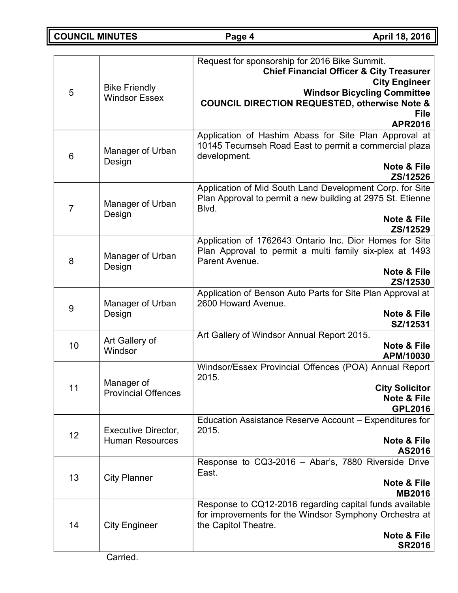**COUNCIL MINUTES Page 4 April 18, 2016**

|                |                            | Request for sponsorship for 2016 Bike Summit.<br><b>Chief Financial Officer &amp; City Treasurer</b>                            |
|----------------|----------------------------|---------------------------------------------------------------------------------------------------------------------------------|
|                | <b>Bike Friendly</b>       | <b>City Engineer</b>                                                                                                            |
| 5              | <b>Windsor Essex</b>       | <b>Windsor Bicycling Committee</b>                                                                                              |
|                |                            | <b>COUNCIL DIRECTION REQUESTED, otherwise Note &amp;</b>                                                                        |
|                |                            | <b>File</b><br><b>APR2016</b>                                                                                                   |
|                |                            | Application of Hashim Abass for Site Plan Approval at                                                                           |
| 6              | Manager of Urban           | 10145 Tecumseh Road East to permit a commercial plaza<br>development.                                                           |
|                | Design                     | Note & File                                                                                                                     |
|                |                            | ZS/12526                                                                                                                        |
| $\overline{7}$ | Manager of Urban           | Application of Mid South Land Development Corp. for Site<br>Plan Approval to permit a new building at 2975 St. Etienne<br>Blvd. |
|                | Design                     | Note & File                                                                                                                     |
|                |                            | ZS/12529                                                                                                                        |
|                |                            | Application of 1762643 Ontario Inc. Dior Homes for Site<br>Plan Approval to permit a multi family six-plex at 1493              |
| 8              | Manager of Urban<br>Design | Parent Avenue.                                                                                                                  |
|                |                            | Note & File                                                                                                                     |
|                |                            | ZS/12530                                                                                                                        |
| 9              | Manager of Urban           | Application of Benson Auto Parts for Site Plan Approval at<br>2600 Howard Avenue.                                               |
|                | Design                     | Note & File                                                                                                                     |
|                |                            | SZ/12531<br>Art Gallery of Windsor Annual Report 2015.                                                                          |
| 10             | Art Gallery of             | Note & File                                                                                                                     |
|                | Windsor                    | APM/10030                                                                                                                       |
|                |                            | Windsor/Essex Provincial Offences (POA) Annual Report<br>2015.                                                                  |
| 11             | Manager of                 | <b>City Solicitor</b>                                                                                                           |
|                | <b>Provincial Offences</b> | <b>Note &amp; File</b>                                                                                                          |
|                |                            | <b>GPL2016</b>                                                                                                                  |
| 12             | Executive Director,        | Education Assistance Reserve Account - Expenditures for<br>2015.                                                                |
|                | <b>Human Resources</b>     | Note & File                                                                                                                     |
|                |                            | AS2016                                                                                                                          |
|                |                            | Response to CQ3-2016 - Abar's, 7880 Riverside Drive<br>East.                                                                    |
| 13             | <b>City Planner</b>        | Note & File                                                                                                                     |
|                |                            | <b>MB2016</b>                                                                                                                   |
|                |                            | Response to CQ12-2016 regarding capital funds available<br>for improvements for the Windsor Symphony Orchestra at               |
| 14             | <b>City Engineer</b>       | the Capitol Theatre.                                                                                                            |
|                |                            | Note & File                                                                                                                     |
|                |                            | <b>SR2016</b>                                                                                                                   |
|                |                            |                                                                                                                                 |

Carried.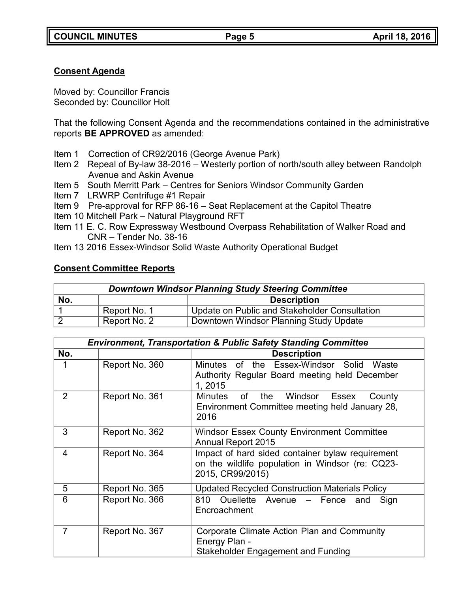# **Consent Agenda**

Moved by: Councillor Francis Seconded by: Councillor Holt

That the following Consent Agenda and the recommendations contained in the administrative reports **BE APPROVED** as amended:

- Item 1 Correction of CR92/2016 (George Avenue Park)
- Item 2 Repeal of By-law 38-2016 Westerly portion of north/south alley between Randolph Avenue and Askin Avenue
- Item 5 South Merritt Park Centres for Seniors Windsor Community Garden
- Item 7 LRWRP Centrifuge #1 Repair
- Item 9 Pre-approval for RFP 86-16 Seat Replacement at the Capitol Theatre
- Item 10 Mitchell Park Natural Playground RFT
- Item 11 E. C. Row Expressway Westbound Overpass Rehabilitation of Walker Road and CNR – Tender No. 38-16
- Item 13 2016 Essex-Windsor Solid Waste Authority Operational Budget

# **Consent Committee Reports**

| <b>Downtown Windsor Planning Study Steering Committee</b> |                                                        |                                               |  |
|-----------------------------------------------------------|--------------------------------------------------------|-----------------------------------------------|--|
| No.<br><b>Description</b>                                 |                                                        |                                               |  |
|                                                           | Report No. 1                                           | Update on Public and Stakeholder Consultation |  |
|                                                           | Report No. 2<br>Downtown Windsor Planning Study Update |                                               |  |

|                | <b>Environment, Transportation &amp; Public Safety Standing Committee</b> |                                                                                                                          |  |
|----------------|---------------------------------------------------------------------------|--------------------------------------------------------------------------------------------------------------------------|--|
| No.            |                                                                           | <b>Description</b>                                                                                                       |  |
|                | Report No. 360                                                            | Minutes<br>of the Essex-Windsor Solid<br>Waste<br>Authority Regular Board meeting held December<br>1, 2015               |  |
| $\overline{2}$ | Report No. 361                                                            | Minutes of<br>the<br>Windsor<br>Essex<br>County<br>Environment Committee meeting held January 28,<br>2016                |  |
| 3              | Report No. 362                                                            | <b>Windsor Essex County Environment Committee</b><br><b>Annual Report 2015</b>                                           |  |
| 4              | Report No. 364                                                            | Impact of hard sided container bylaw requirement<br>on the wildlife population in Windsor (re: CQ23-<br>2015, CR99/2015) |  |
| 5              | Report No. 365                                                            | <b>Updated Recycled Construction Materials Policy</b>                                                                    |  |
| 6              | Report No. 366                                                            | 810 Ouellette Avenue - Fence<br>Sign<br>and<br>Encroachment                                                              |  |
|                | Report No. 367                                                            | Corporate Climate Action Plan and Community<br>Energy Plan -<br>Stakeholder Engagement and Funding                       |  |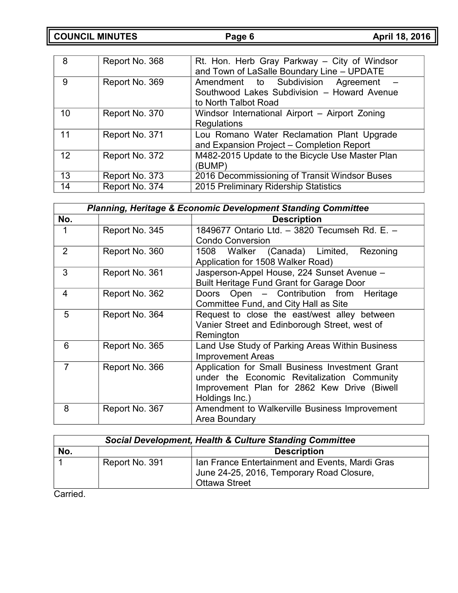**COUNCIL MINUTES Page 6 April 18, 2016**

| 8  | Report No. 368 | Rt. Hon. Herb Gray Parkway - City of Windsor<br>and Town of LaSalle Boundary Line - UPDATE                   |
|----|----------------|--------------------------------------------------------------------------------------------------------------|
| 9  | Report No. 369 | Amendment to Subdivision<br>Agreement<br>Southwood Lakes Subdivision - Howard Avenue<br>to North Talbot Road |
| 10 | Report No. 370 | Windsor International Airport - Airport Zoning<br>Regulations                                                |
| 11 | Report No. 371 | Lou Romano Water Reclamation Plant Upgrade<br>and Expansion Project - Completion Report                      |
| 12 | Report No. 372 | M482-2015 Update to the Bicycle Use Master Plan<br>(BUMP)                                                    |
| 13 | Report No. 373 | 2016 Decommissioning of Transit Windsor Buses                                                                |
| 14 | Report No. 374 | 2015 Preliminary Ridership Statistics                                                                        |

|                | <b>Planning, Heritage &amp; Economic Development Standing Committee</b> |                                                                                |  |
|----------------|-------------------------------------------------------------------------|--------------------------------------------------------------------------------|--|
| No.            |                                                                         | <b>Description</b>                                                             |  |
|                | Report No. 345                                                          | 1849677 Ontario Ltd. - 3820 Tecumseh Rd. E. -                                  |  |
|                |                                                                         | <b>Condo Conversion</b>                                                        |  |
| $\overline{2}$ | Report No. 360                                                          | 1508 Walker (Canada) Limited,<br>Rezoning<br>Application for 1508 Walker Road) |  |
| 3              | Report No. 361                                                          | Jasperson-Appel House, 224 Sunset Avenue -                                     |  |
|                |                                                                         | <b>Built Heritage Fund Grant for Garage Door</b>                               |  |
| 4              | Report No. 362                                                          | Doors Open – Contribution from Heritage                                        |  |
|                |                                                                         | Committee Fund, and City Hall as Site                                          |  |
| 5              | Report No. 364                                                          | Request to close the east/west alley between                                   |  |
|                |                                                                         | Vanier Street and Edinborough Street, west of                                  |  |
|                |                                                                         | Remington                                                                      |  |
| 6              | Report No. 365                                                          | Land Use Study of Parking Areas Within Business                                |  |
|                |                                                                         | <b>Improvement Areas</b>                                                       |  |
| $\overline{7}$ | Report No. 366                                                          | Application for Small Business Investment Grant                                |  |
|                |                                                                         | under the Economic Revitalization Community                                    |  |
|                |                                                                         | Improvement Plan for 2862 Kew Drive (Biwell                                    |  |
|                |                                                                         | Holdings Inc.)                                                                 |  |
| 8              | Report No. 367                                                          | Amendment to Walkerville Business Improvement                                  |  |
|                |                                                                         | Area Boundary                                                                  |  |

| <b>Social Development, Health &amp; Culture Standing Committee</b> |                |                                                                                                                      |
|--------------------------------------------------------------------|----------------|----------------------------------------------------------------------------------------------------------------------|
| No.                                                                |                | <b>Description</b>                                                                                                   |
|                                                                    | Report No. 391 | Ian France Entertainment and Events, Mardi Gras<br>June 24-25, 2016, Temporary Road Closure,<br><b>Ottawa Street</b> |

Carried.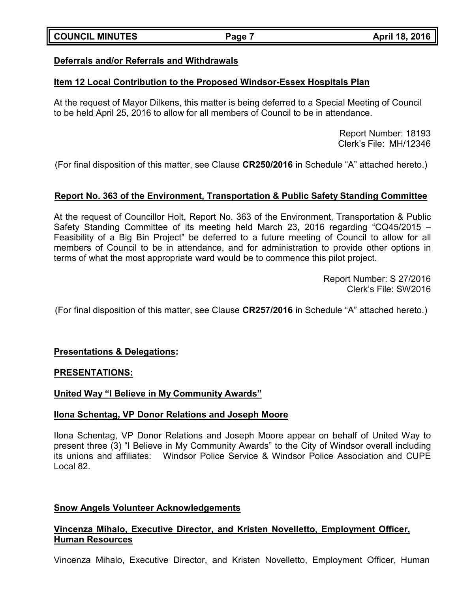# **Deferrals and/or Referrals and Withdrawals**

# **Item 12 Local Contribution to the Proposed Windsor-Essex Hospitals Plan**

At the request of Mayor Dilkens, this matter is being deferred to a Special Meeting of Council to be held April 25, 2016 to allow for all members of Council to be in attendance.

> Report Number: 18193 Clerk's File: MH/12346

(For final disposition of this matter, see Clause **CR250/2016** in Schedule "A" attached hereto.)

# **Report No. 363 of the Environment, Transportation & Public Safety Standing Committee**

At the request of Councillor Holt, Report No. 363 of the Environment, Transportation & Public Safety Standing Committee of its meeting held March 23, 2016 regarding "CQ45/2015 – Feasibility of a Big Bin Project" be deferred to a future meeting of Council to allow for all members of Council to be in attendance, and for administration to provide other options in terms of what the most appropriate ward would be to commence this pilot project.

> Report Number: S 27/2016 Clerk's File: SW2016

(For final disposition of this matter, see Clause **CR257/2016** in Schedule "A" attached hereto.)

# **Presentations & Delegations:**

#### **PRESENTATIONS:**

# **United Way "I Believe in My Community Awards"**

#### **Ilona Schentag, VP Donor Relations and Joseph Moore**

Ilona Schentag, VP Donor Relations and Joseph Moore appear on behalf of United Way to present three (3) "I Believe in My Community Awards" to the City of Windsor overall including its unions and affiliates: Windsor Police Service & Windsor Police Association and CUPE Local 82.

# **Snow Angels Volunteer Acknowledgements**

# **Vincenza Mihalo, Executive Director, and Kristen Novelletto, Employment Officer, Human Resources**

Vincenza Mihalo, Executive Director, and Kristen Novelletto, Employment Officer, Human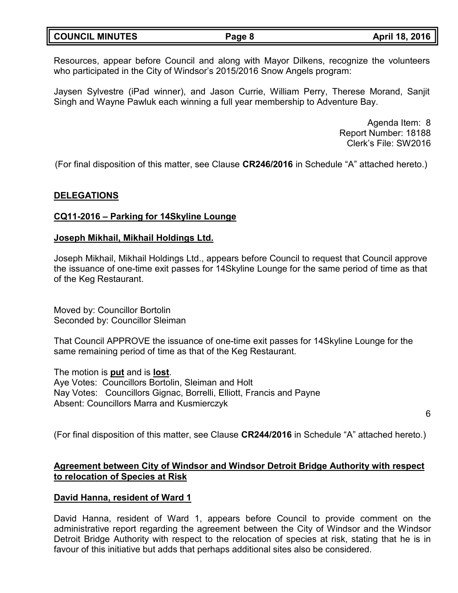| <b>COUNCIL MINUTES</b> | Page 8 | April 18, 2016 |
|------------------------|--------|----------------|
|                        |        |                |

Resources, appear before Council and along with Mayor Dilkens, recognize the volunteers who participated in the City of Windsor's 2015/2016 Snow Angels program:

Jaysen Sylvestre (iPad winner), and Jason Currie, William Perry, Therese Morand, Sanjit Singh and Wayne Pawluk each winning a full year membership to Adventure Bay.

> Agenda Item: 8 Report Number: 18188 Clerk's File: SW2016

(For final disposition of this matter, see Clause **CR246/2016** in Schedule "A" attached hereto.)

#### **DELEGATIONS**

#### **CQ11-2016 – Parking for 14Skyline Lounge**

#### **Joseph Mikhail, Mikhail Holdings Ltd.**

Joseph Mikhail, Mikhail Holdings Ltd., appears before Council to request that Council approve the issuance of one-time exit passes for 14Skyline Lounge for the same period of time as that of the Keg Restaurant.

Moved by: Councillor Bortolin Seconded by: Councillor Sleiman

That Council APPROVE the issuance of one-time exit passes for 14Skyline Lounge for the same remaining period of time as that of the Keg Restaurant.

The motion is **put** and is **lost**. Aye Votes: Councillors Bortolin, Sleiman and Holt Nay Votes: Councillors Gignac, Borrelli, Elliott, Francis and Payne Absent: Councillors Marra and Kusmierczyk

6

(For final disposition of this matter, see Clause **CR244/2016** in Schedule "A" attached hereto.)

# **Agreement between City of Windsor and Windsor Detroit Bridge Authority with respect to relocation of Species at Risk**

#### **David Hanna, resident of Ward 1**

David Hanna, resident of Ward 1, appears before Council to provide comment on the administrative report regarding the agreement between the City of Windsor and the Windsor Detroit Bridge Authority with respect to the relocation of species at risk, stating that he is in favour of this initiative but adds that perhaps additional sites also be considered.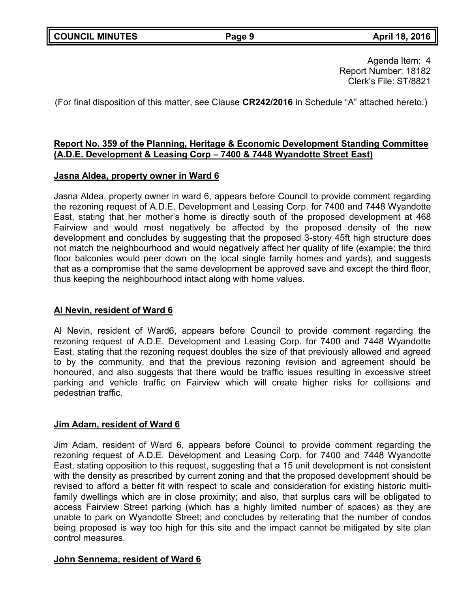Agenda Item: 4 Report Number: 18182 Clerk's File: ST/8821

(For final disposition of this matter, see Clause **CR242/2016** in Schedule "A" attached hereto.)

# **Report No. 359 of the Planning, Heritage & Economic Development Standing Committee (A.D.E. Development & Leasing Corp – 7400 & 7448 Wyandotte Street East)**

### **Jasna Aldea, property owner in Ward 6**

Jasna Aldea, property owner in ward 6, appears before Council to provide comment regarding the rezoning request of A.D.E. Development and Leasing Corp. for 7400 and 7448 Wyandotte East, stating that her mother's home is directly south of the proposed development at 468 Fairview and would most negatively be affected by the proposed density of the new development and concludes by suggesting that the proposed 3-story 45ft high structure does not match the neighbourhood and would negatively affect her quality of life (example: the third floor balconies would peer down on the local single family homes and yards), and suggests that as a compromise that the same development be approved save and except the third floor, thus keeping the neighbourhood intact along with home values.

# **Al Nevin, resident of Ward 6**

Al Nevin, resident of Ward6, appears before Council to provide comment regarding the rezoning request of A.D.E. Development and Leasing Corp. for 7400 and 7448 Wyandotte East, stating that the rezoning request doubles the size of that previously allowed and agreed to by the community, and that the previous rezoning revision and agreement should be honoured, and also suggests that there would be traffic issues resulting in excessive street parking and vehicle traffic on Fairview which will create higher risks for collisions and pedestrian traffic.

#### **Jim Adam, resident of Ward 6**

Jim Adam, resident of Ward 6, appears before Council to provide comment regarding the rezoning request of A.D.E. Development and Leasing Corp. for 7400 and 7448 Wyandotte East, stating opposition to this request, suggesting that a 15 unit development is not consistent with the density as prescribed by current zoning and that the proposed development should be revised to afford a better fit with respect to scale and consideration for existing historic multifamily dwellings which are in close proximity; and also, that surplus cars will be obligated to access Fairview Street parking (which has a highly limited number of spaces) as they are unable to park on Wyandotte Street; and concludes by reiterating that the number of condos being proposed is way too high for this site and the impact cannot be mitigated by site plan control measures.

# **John Sennema, resident of Ward 6**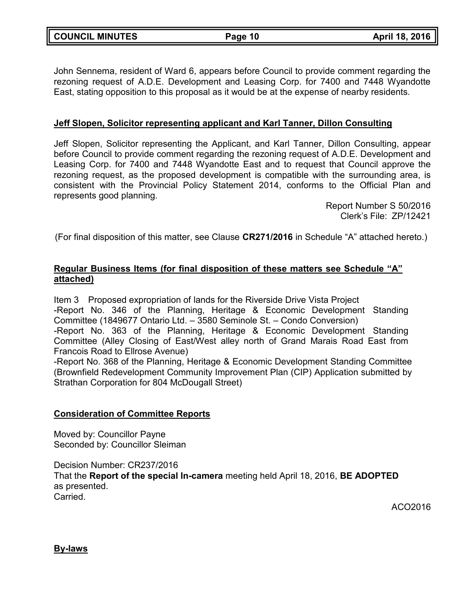| <b>COUNCIL MINUTES</b> |
|------------------------|
|------------------------|

John Sennema, resident of Ward 6, appears before Council to provide comment regarding the rezoning request of A.D.E. Development and Leasing Corp. for 7400 and 7448 Wyandotte East, stating opposition to this proposal as it would be at the expense of nearby residents.

### **Jeff Slopen, Solicitor representing applicant and Karl Tanner, Dillon Consulting**

Jeff Slopen, Solicitor representing the Applicant, and Karl Tanner, Dillon Consulting, appear before Council to provide comment regarding the rezoning request of A.D.E. Development and Leasing Corp. for 7400 and 7448 Wyandotte East and to request that Council approve the rezoning request, as the proposed development is compatible with the surrounding area, is consistent with the Provincial Policy Statement 2014, conforms to the Official Plan and represents good planning.

> Report Number S 50/2016 Clerk's File: ZP/12421

(For final disposition of this matter, see Clause **CR271/2016** in Schedule "A" attached hereto.)

### **Regular Business Items (for final disposition of these matters see Schedule "A" attached)**

Item 3 Proposed expropriation of lands for the Riverside Drive Vista Project -Report No. 346 of the Planning, Heritage & Economic Development Standing Committee (1849677 Ontario Ltd. – 3580 Seminole St. – Condo Conversion) -Report No. 363 of the Planning, Heritage & Economic Development Standing Committee (Alley Closing of East/West alley north of Grand Marais Road East from Francois Road to Ellrose Avenue) -Report No. 368 of the Planning, Heritage & Economic Development Standing Committee (Brownfield Redevelopment Community Improvement Plan (CIP) Application submitted by

## **Consideration of Committee Reports**

Strathan Corporation for 804 McDougall Street)

Moved by: Councillor Payne Seconded by: Councillor Sleiman

Decision Number: CR237/2016 That the **Report of the special In-camera** meeting held April 18, 2016, **BE ADOPTED** as presented. Carried.

ACO2016

**By-laws**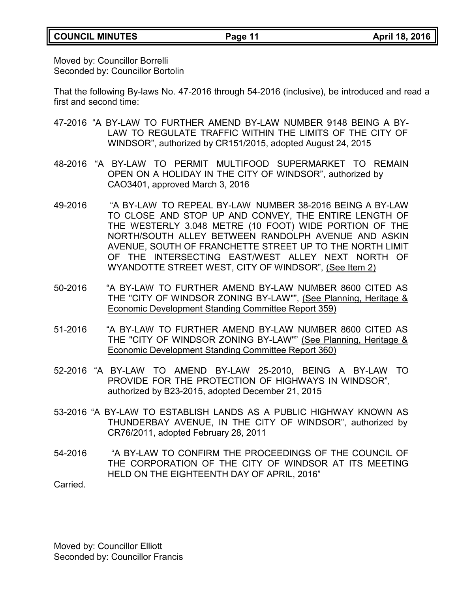# **COUNCIL MINUTES Page 11 April 18, 2016**

Moved by: Councillor Borrelli Seconded by: Councillor Bortolin

That the following By-laws No. 47-2016 through 54-2016 (inclusive), be introduced and read a first and second time:

- 47-2016 "A BY-LAW TO FURTHER AMEND BY-LAW NUMBER 9148 BEING A BY-LAW TO REGULATE TRAFFIC WITHIN THE LIMITS OF THE CITY OF WINDSOR", authorized by CR151/2015, adopted August 24, 2015
- 48-2016 "A BY-LAW TO PERMIT MULTIFOOD SUPERMARKET TO REMAIN OPEN ON A HOLIDAY IN THE CITY OF WINDSOR", authorized by CAO3401, approved March 3, 2016
- 49-2016 "A BY-LAW TO REPEAL BY-LAW NUMBER 38-2016 BEING A BY-LAW TO CLOSE AND STOP UP AND CONVEY, THE ENTIRE LENGTH OF THE WESTERLY 3.048 METRE (10 FOOT) WIDE PORTION OF THE NORTH/SOUTH ALLEY BETWEEN RANDOLPH AVENUE AND ASKIN AVENUE, SOUTH OF FRANCHETTE STREET UP TO THE NORTH LIMIT OF THE INTERSECTING EAST/WEST ALLEY NEXT NORTH OF WYANDOTTE STREET WEST, CITY OF WINDSOR", (See Item 2)
- 50-2016 "A BY-LAW TO FURTHER AMEND BY-LAW NUMBER 8600 CITED AS THE "CITY OF WINDSOR ZONING BY-LAW"", (See Planning, Heritage & Economic Development Standing Committee Report 359)
- 51-2016 "A BY-LAW TO FURTHER AMEND BY-LAW NUMBER 8600 CITED AS THE "CITY OF WINDSOR ZONING BY-LAW"" (See Planning, Heritage & Economic Development Standing Committee Report 360)
- 52-2016 "A BY-LAW TO AMEND BY-LAW 25-2010, BEING A BY-LAW TO PROVIDE FOR THE PROTECTION OF HIGHWAYS IN WINDSOR", authorized by B23-2015, adopted December 21, 2015
- 53-2016 "A BY-LAW TO ESTABLISH LANDS AS A PUBLIC HIGHWAY KNOWN AS THUNDERBAY AVENUE, IN THE CITY OF WINDSOR", authorized by CR76/2011, adopted February 28, 2011
- 54-2016 "A BY-LAW TO CONFIRM THE PROCEEDINGS OF THE COUNCIL OF THE CORPORATION OF THE CITY OF WINDSOR AT ITS MEETING HELD ON THE EIGHTEENTH DAY OF APRIL, 2016"

Carried.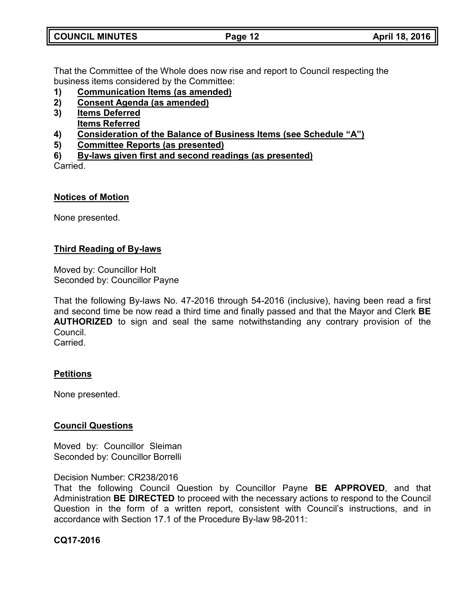| <b>COUNCIL MINUTES</b> | Page 12 | April 18, 2016 |
|------------------------|---------|----------------|
|                        |         |                |

That the Committee of the Whole does now rise and report to Council respecting the business items considered by the Committee:

- **1) Communication Items (as amended)**
- **2) Consent Agenda (as amended)**
- **3) Items Deferred Items Referred**
- **4) Consideration of the Balance of Business Items (see Schedule "A")**
- **5) Committee Reports (as presented)**
- **6) By-laws given first and second readings (as presented)**

Carried.

#### **Notices of Motion**

None presented.

# **Third Reading of By-laws**

Moved by: Councillor Holt Seconded by: Councillor Payne

That the following By-laws No. 47-2016 through 54-2016 (inclusive), having been read a first and second time be now read a third time and finally passed and that the Mayor and Clerk **BE AUTHORIZED** to sign and seal the same notwithstanding any contrary provision of the Council. **Carried** 

#### **Petitions**

None presented.

#### **Council Questions**

Moved by: Councillor Sleiman Seconded by: Councillor Borrelli

#### Decision Number: CR238/2016

That the following Council Question by Councillor Payne **BE APPROVED**, and that Administration **BE DIRECTED** to proceed with the necessary actions to respond to the Council Question in the form of a written report, consistent with Council's instructions, and in accordance with Section 17.1 of the Procedure By-law 98-2011:

#### **CQ17-2016**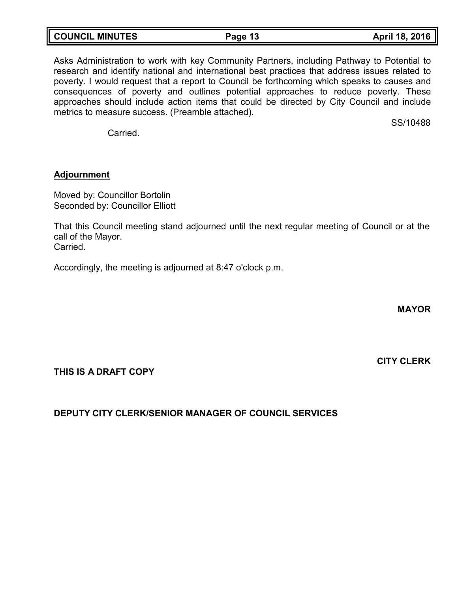| <b>COUNCIL MINUTES</b> | Page 13 | April 18, 2016 |
|------------------------|---------|----------------|
|                        |         |                |

Asks Administration to work with key Community Partners, including Pathway to Potential to research and identify national and international best practices that address issues related to poverty. I would request that a report to Council be forthcoming which speaks to causes and consequences of poverty and outlines potential approaches to reduce poverty. These approaches should include action items that could be directed by City Council and include metrics to measure success. (Preamble attached).

**Carried** 

#### **Adjournment**

Moved by: Councillor Bortolin Seconded by: Councillor Elliott

That this Council meeting stand adjourned until the next regular meeting of Council or at the call of the Mayor. Carried.

Accordingly, the meeting is adjourned at 8:47 o'clock p.m.

**MAYOR**

**CITY CLERK**

SS/10488

# **THIS IS A DRAFT COPY**

# **DEPUTY CITY CLERK/SENIOR MANAGER OF COUNCIL SERVICES**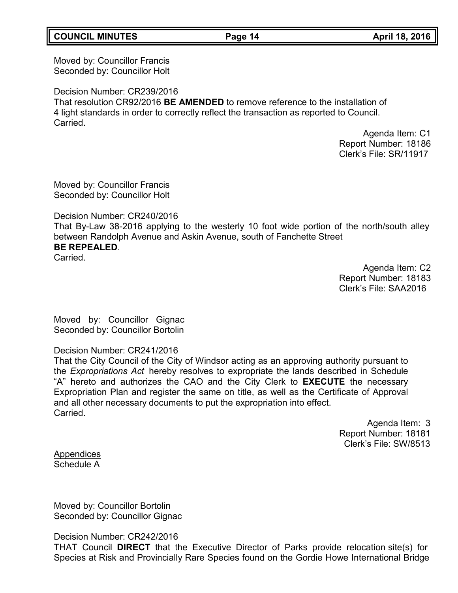### **COUNCIL MINUTES Page 14 April 18, 2016**

Moved by: Councillor Francis Seconded by: Councillor Holt

Decision Number: CR239/2016

That resolution CR92/2016 **BE AMENDED** to remove reference to the installation of 4 light standards in order to correctly reflect the transaction as reported to Council. Carried.

> Agenda Item: C1 Report Number: 18186 Clerk's File: SR/11917

Moved by: Councillor Francis Seconded by: Councillor Holt

Decision Number: CR240/2016

That By-Law 38-2016 applying to the westerly 10 foot wide portion of the north/south alley between Randolph Avenue and Askin Avenue, south of Fanchette Street **BE REPEALED**.

**Carried** 

Agenda Item: C2 Report Number: 18183 Clerk's File: SAA2016

Moved by: Councillor Gignac Seconded by: Councillor Bortolin

# Decision Number: CR241/2016

That the City Council of the City of Windsor acting as an approving authority pursuant to the *Expropriations Act* hereby resolves to expropriate the lands described in Schedule "A" hereto and authorizes the CAO and the City Clerk to **EXECUTE** the necessary Expropriation Plan and register the same on title, as well as the Certificate of Approval and all other necessary documents to put the expropriation into effect. Carried.

> Agenda Item: 3 Report Number: 18181 Clerk's File: SW/8513

Appendices Schedule A

Moved by: Councillor Bortolin Seconded by: Councillor Gignac

Decision Number: CR242/2016

THAT Council **DIRECT** that the Executive Director of Parks provide relocation site(s) for Species at Risk and Provincially Rare Species found on the Gordie Howe International Bridge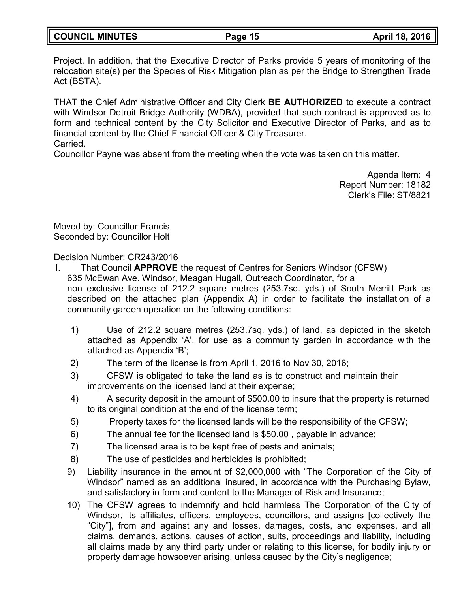| <b>COUNCIL MINUTES</b> | Page 15 | April 18, 2016 |
|------------------------|---------|----------------|
|                        |         |                |

Project. In addition, that the Executive Director of Parks provide 5 years of monitoring of the relocation site(s) per the Species of Risk Mitigation plan as per the Bridge to Strengthen Trade Act (BSTA).

THAT the Chief Administrative Officer and City Clerk **BE AUTHORIZED** to execute a contract with Windsor Detroit Bridge Authority (WDBA), provided that such contract is approved as to form and technical content by the City Solicitor and Executive Director of Parks, and as to financial content by the Chief Financial Officer & City Treasurer. Carried.

Councillor Payne was absent from the meeting when the vote was taken on this matter.

Agenda Item: 4 Report Number: 18182 Clerk's File: ST/8821

Moved by: Councillor Francis Seconded by: Councillor Holt

Decision Number: CR243/2016

- I. That Council **APPROVE** the request of Centres for Seniors Windsor (CFSW) 635 McEwan Ave. Windsor, Meagan Hugall, Outreach Coordinator, for a non exclusive license of 212.2 square metres (253.7sq. yds.) of South Merritt Park as described on the attached plan (Appendix A) in order to facilitate the installation of a community garden operation on the following conditions:
	- 1) Use of 212.2 square metres (253.7sq. yds.) of land, as depicted in the sketch attached as Appendix 'A', for use as a community garden in accordance with the attached as Appendix 'B';
	- 2) The term of the license is from April 1, 2016 to Nov 30, 2016;
	- 3) CFSW is obligated to take the land as is to construct and maintain their improvements on the licensed land at their expense;
	- 4) A security deposit in the amount of \$500.00 to insure that the property is returned to its original condition at the end of the license term;
	- 5) Property taxes for the licensed lands will be the responsibility of the CFSW;
	- 6) The annual fee for the licensed land is \$50.00 , payable in advance;
	- 7) The licensed area is to be kept free of pests and animals;
	- 8) The use of pesticides and herbicides is prohibited;
	- 9) Liability insurance in the amount of \$2,000,000 with "The Corporation of the City of Windsor" named as an additional insured, in accordance with the Purchasing Bylaw, and satisfactory in form and content to the Manager of Risk and Insurance;
	- 10) The CFSW agrees to indemnify and hold harmless The Corporation of the City of Windsor, its affiliates, officers, employees, councillors, and assigns [collectively the "City"], from and against any and losses, damages, costs, and expenses, and all claims, demands, actions, causes of action, suits, proceedings and liability, including all claims made by any third party under or relating to this license, for bodily injury or property damage howsoever arising, unless caused by the City's negligence;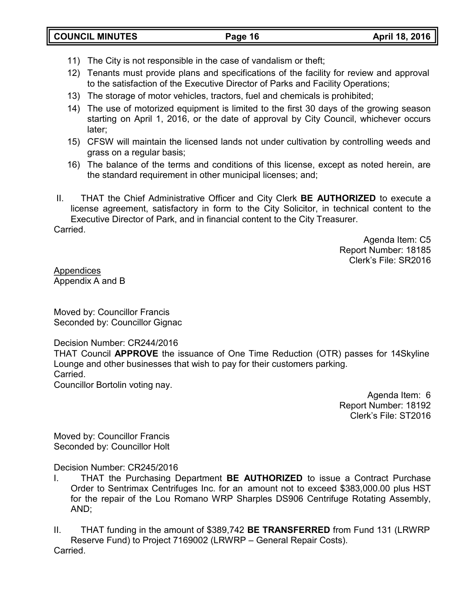- 11) The City is not responsible in the case of vandalism or theft;
- 12) Tenants must provide plans and specifications of the facility for review and approval to the satisfaction of the Executive Director of Parks and Facility Operations;
- 13) The storage of motor vehicles, tractors, fuel and chemicals is prohibited;
- 14) The use of motorized equipment is limited to the first 30 days of the growing season starting on April 1, 2016, or the date of approval by City Council, whichever occurs later;
- 15) CFSW will maintain the licensed lands not under cultivation by controlling weeds and grass on a regular basis;
- 16) The balance of the terms and conditions of this license, except as noted herein, are the standard requirement in other municipal licenses; and;
- II. THAT the Chief Administrative Officer and City Clerk **BE AUTHORIZED** to execute a license agreement, satisfactory in form to the City Solicitor, in technical content to the Executive Director of Park, and in financial content to the City Treasurer. Carried.

Agenda Item: C5 Report Number: 18185 Clerk's File: SR2016

Appendices Appendix A and B

Moved by: Councillor Francis Seconded by: Councillor Gignac

Decision Number: CR244/2016

THAT Council **APPROVE** the issuance of One Time Reduction (OTR) passes for 14Skyline Lounge and other businesses that wish to pay for their customers parking. Carried.

Councillor Bortolin voting nay.

Agenda Item: 6 Report Number: 18192 Clerk's File: ST2016

Moved by: Councillor Francis Seconded by: Councillor Holt

Decision Number: CR245/2016

I. THAT the Purchasing Department **BE AUTHORIZED** to issue a Contract Purchase Order to Sentrimax Centrifuges Inc. for an amount not to exceed \$383,000.00 plus HST for the repair of the Lou Romano WRP Sharples DS906 Centrifuge Rotating Assembly, AND;

II. THAT funding in the amount of \$389,742 **BE TRANSFERRED** from Fund 131 (LRWRP Reserve Fund) to Project 7169002 (LRWRP – General Repair Costs). Carried.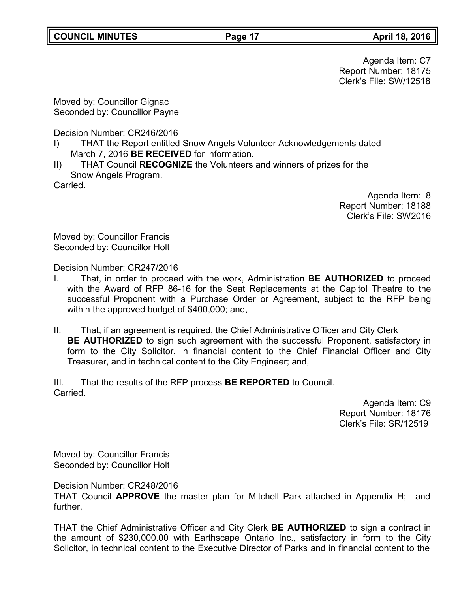Agenda Item: C7 Report Number: 18175 Clerk's File: SW/12518

Moved by: Councillor Gignac Seconded by: Councillor Payne

Decision Number: CR246/2016

- I) THAT the Report entitled Snow Angels Volunteer Acknowledgements dated March 7, 2016 **BE RECEIVED** for information.
- II) THAT Council **RECOGNIZE** the Volunteers and winners of prizes for the Snow Angels Program.

Carried.

Agenda Item: 8 Report Number: 18188 Clerk's File: SW2016

Moved by: Councillor Francis Seconded by: Councillor Holt

Decision Number: CR247/2016

- I. That, in order to proceed with the work, Administration **BE AUTHORIZED** to proceed with the Award of RFP 86-16 for the Seat Replacements at the Capitol Theatre to the successful Proponent with a Purchase Order or Agreement, subject to the RFP being within the approved budget of \$400,000; and,
- II. That, if an agreement is required, the Chief Administrative Officer and City Clerk **BE AUTHORIZED** to sign such agreement with the successful Proponent, satisfactory in form to the City Solicitor, in financial content to the Chief Financial Officer and City Treasurer, and in technical content to the City Engineer; and,

III. That the results of the RFP process **BE REPORTED** to Council. Carried.

Agenda Item: C9 Report Number: 18176 Clerk's File: SR/12519

Moved by: Councillor Francis Seconded by: Councillor Holt

Decision Number: CR248/2016

THAT Council **APPROVE** the master plan for Mitchell Park attached in Appendix H; and further,

THAT the Chief Administrative Officer and City Clerk **BE AUTHORIZED** to sign a contract in the amount of \$230,000.00 with Earthscape Ontario Inc., satisfactory in form to the City Solicitor, in technical content to the Executive Director of Parks and in financial content to the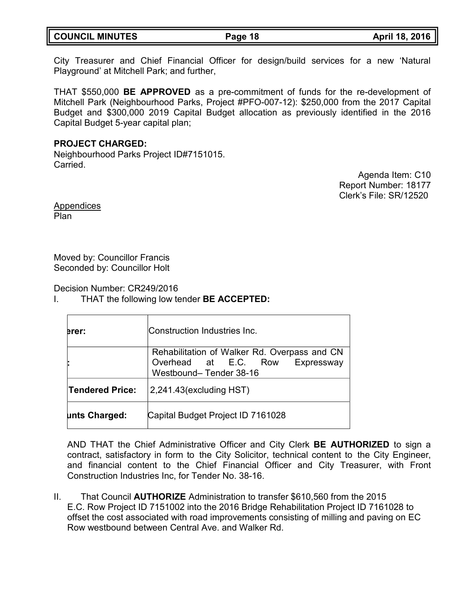| <b>COUNCIL MINUTES</b> | Page 18 | April 18, 2016 |
|------------------------|---------|----------------|
|                        |         |                |

City Treasurer and Chief Financial Officer for design/build services for a new 'Natural Playground' at Mitchell Park; and further,

THAT \$550,000 **BE APPROVED** as a pre-commitment of funds for the re-development of Mitchell Park (Neighbourhood Parks, Project #PFO-007-12): \$250,000 from the 2017 Capital Budget and \$300,000 2019 Capital Budget allocation as previously identified in the 2016 Capital Budget 5-year capital plan;

### **PROJECT CHARGED:**

Neighbourhood Parks Project ID#7151015. Carried.

Agenda Item: C10 Report Number: 18177 Clerk's File: SR/12520

Appendices Plan

Moved by: Councillor Francis Seconded by: Councillor Holt

Decision Number: CR249/2016

I. THAT the following low tender **BE ACCEPTED:**

| erer:                  | Construction Industries Inc.                                                                              |
|------------------------|-----------------------------------------------------------------------------------------------------------|
|                        | Rehabilitation of Walker Rd. Overpass and CN<br>Overhead at E.C. Row Expressway<br>Westbound-Tender 38-16 |
| <b>Tendered Price:</b> | $2,241.43$ (excluding HST)                                                                                |
| unts Charged:          | Capital Budget Project ID 7161028                                                                         |

AND THAT the Chief Administrative Officer and City Clerk **BE AUTHORIZED** to sign a contract, satisfactory in form to the City Solicitor, technical content to the City Engineer, and financial content to the Chief Financial Officer and City Treasurer, with Front Construction Industries Inc, for Tender No. 38-16.

II. That Council **AUTHORIZE** Administration to transfer \$610,560 from the 2015 E.C. Row Project ID 7151002 into the 2016 Bridge Rehabilitation Project ID 7161028 to offset the cost associated with road improvements consisting of milling and paving on EC Row westbound between Central Ave. and Walker Rd.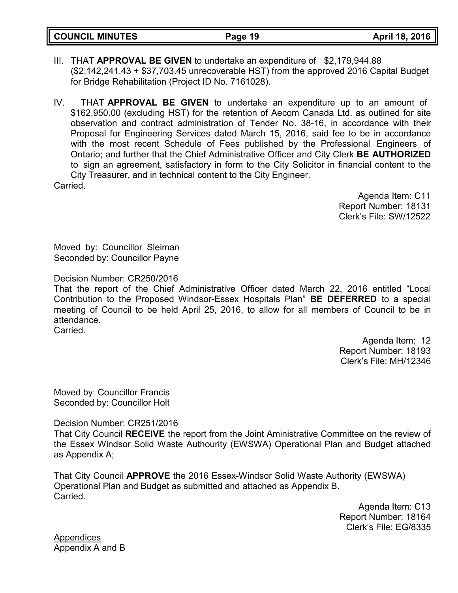**COUNCIL MINUTES Page 19 April 18, 2016**

- III. THAT **APPROVAL BE GIVEN** to undertake an expenditure of \$2,179,944.88 (\$2,142,241.43 + \$37,703.45 unrecoverable HST) from the approved 2016 Capital Budget for Bridge Rehabilitation (Project ID No. 7161028).
- IV. THAT **APPROVAL BE GIVEN** to undertake an expenditure up to an amount of \$162,950.00 (excluding HST) for the retention of Aecom Canada Ltd. as outlined for site observation and contract administration of Tender No. 38-16, in accordance with their Proposal for Engineering Services dated March 15, 2016, said fee to be in accordance with the most recent Schedule of Fees published by the Professional Engineers of Ontario; and further that the Chief Administrative Officer and City Clerk **BE AUTHORIZED** to sign an agreement, satisfactory in form to the City Solicitor in financial content to the City Treasurer, and in technical content to the City Engineer. Carried.

Agenda Item: C11 Report Number: 18131 Clerk's File: SW/12522

Moved by: Councillor Sleiman Seconded by: Councillor Payne

Decision Number: CR250/2016

That the report of the Chief Administrative Officer dated March 22, 2016 entitled "Local Contribution to the Proposed Windsor-Essex Hospitals Plan" **BE DEFERRED** to a special meeting of Council to be held April 25, 2016, to allow for all members of Council to be in attendance. Carried.

> Agenda Item: 12 Report Number: 18193 Clerk's File: MH/12346

Moved by: Councillor Francis Seconded by: Councillor Holt

Decision Number: CR251/2016

That City Council **RECEIVE** the report from the Joint Aministrative Committee on the review of the Essex Windsor Solid Waste Authourity (EWSWA) Operational Plan and Budget attached as Appendix A;

That City Council **APPROVE** the 2016 Essex-Windsor Solid Waste Authority (EWSWA) Operational Plan and Budget as submitted and attached as Appendix B. Carried.

> Agenda Item: C13 Report Number: 18164 Clerk's File: EG/8335

Appendices Appendix A and B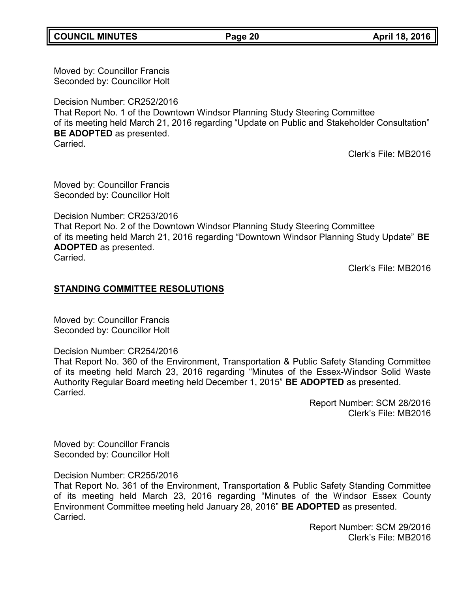**COUNCIL MINUTES Page 20 April 18, 2016**

Moved by: Councillor Francis Seconded by: Councillor Holt

Decision Number: CR252/2016

That Report No. 1 of the Downtown Windsor Planning Study Steering Committee of its meeting held March 21, 2016 regarding "Update on Public and Stakeholder Consultation" **BE ADOPTED** as presented. **Carried** 

Clerk's File: MB2016

Moved by: Councillor Francis Seconded by: Councillor Holt

Decision Number: CR253/2016

That Report No. 2 of the Downtown Windsor Planning Study Steering Committee of its meeting held March 21, 2016 regarding "Downtown Windsor Planning Study Update" **BE ADOPTED** as presented.

Carried.

Clerk's File: MB2016

# **STANDING COMMITTEE RESOLUTIONS**

Moved by: Councillor Francis Seconded by: Councillor Holt

Decision Number: CR254/2016

That Report No. 360 of the Environment, Transportation & Public Safety Standing Committee of its meeting held March 23, 2016 regarding "Minutes of the Essex-Windsor Solid Waste Authority Regular Board meeting held December 1, 2015" **BE ADOPTED** as presented. Carried.

> Report Number: SCM 28/2016 Clerk's File: MB2016

Moved by: Councillor Francis Seconded by: Councillor Holt

# Decision Number: CR255/2016

That Report No. 361 of the Environment, Transportation & Public Safety Standing Committee of its meeting held March 23, 2016 regarding "Minutes of the Windsor Essex County Environment Committee meeting held January 28, 2016" **BE ADOPTED** as presented. Carried.

> Report Number: SCM 29/2016 Clerk's File: MB2016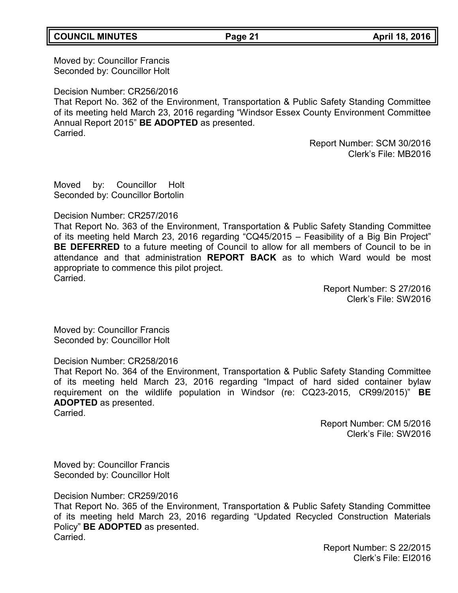Moved by: Councillor Francis Seconded by: Councillor Holt

Decision Number: CR256/2016

That Report No. 362 of the Environment, Transportation & Public Safety Standing Committee of its meeting held March 23, 2016 regarding "Windsor Essex County Environment Committee Annual Report 2015" **BE ADOPTED** as presented. Carried.

> Report Number: SCM 30/2016 Clerk's File: MB2016

Moved by: Councillor Holt Seconded by: Councillor Bortolin

### Decision Number: CR257/2016

That Report No. 363 of the Environment, Transportation & Public Safety Standing Committee of its meeting held March 23, 2016 regarding "CQ45/2015 – Feasibility of a Big Bin Project" **BE DEFERRED** to a future meeting of Council to allow for all members of Council to be in attendance and that administration **REPORT BACK** as to which Ward would be most appropriate to commence this pilot project. Carried.

> Report Number: S 27/2016 Clerk's File: SW2016

Moved by: Councillor Francis Seconded by: Councillor Holt

# Decision Number: CR258/2016

That Report No. 364 of the Environment, Transportation & Public Safety Standing Committee of its meeting held March 23, 2016 regarding "Impact of hard sided container bylaw requirement on the wildlife population in Windsor (re: CQ23-2015, CR99/2015)" **BE ADOPTED** as presented.

Carried.

Report Number: CM 5/2016 Clerk's File: SW2016

Moved by: Councillor Francis Seconded by: Councillor Holt

Decision Number: CR259/2016

That Report No. 365 of the Environment, Transportation & Public Safety Standing Committee of its meeting held March 23, 2016 regarding "Updated Recycled Construction Materials Policy" **BE ADOPTED** as presented. Carried.

> Report Number: S 22/2015 Clerk's File: EI2016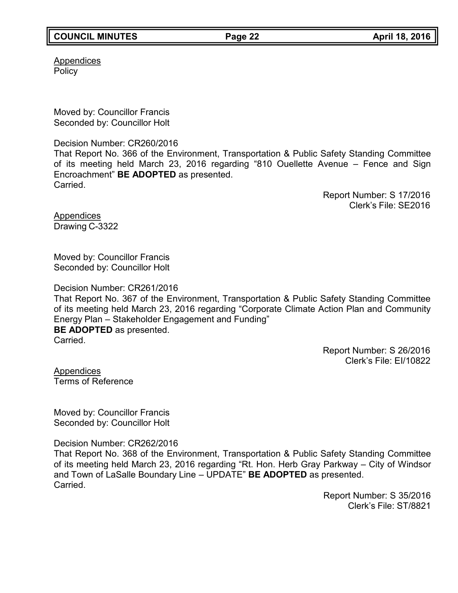# **COUNCIL MINUTES Page 22 April 18, 2016**

Appendices **Policy** 

Moved by: Councillor Francis Seconded by: Councillor Holt

Decision Number: CR260/2016

That Report No. 366 of the Environment, Transportation & Public Safety Standing Committee of its meeting held March 23, 2016 regarding "810 Ouellette Avenue – Fence and Sign Encroachment" **BE ADOPTED** as presented. Carried.

> Report Number: S 17/2016 Clerk's File: SE2016

Appendices Drawing C-3322

Moved by: Councillor Francis Seconded by: Councillor Holt

Decision Number: CR261/2016

That Report No. 367 of the Environment, Transportation & Public Safety Standing Committee of its meeting held March 23, 2016 regarding "Corporate Climate Action Plan and Community Energy Plan – Stakeholder Engagement and Funding" **BE ADOPTED** as presented. **Carried** 

> Report Number: S 26/2016 Clerk's File: EI/10822

Appendices Terms of Reference

Moved by: Councillor Francis Seconded by: Councillor Holt

Decision Number: CR262/2016

That Report No. 368 of the Environment, Transportation & Public Safety Standing Committee of its meeting held March 23, 2016 regarding "Rt. Hon. Herb Gray Parkway – City of Windsor and Town of LaSalle Boundary Line – UPDATE" **BE ADOPTED** as presented. **Carried** 

> Report Number: S 35/2016 Clerk's File: ST/8821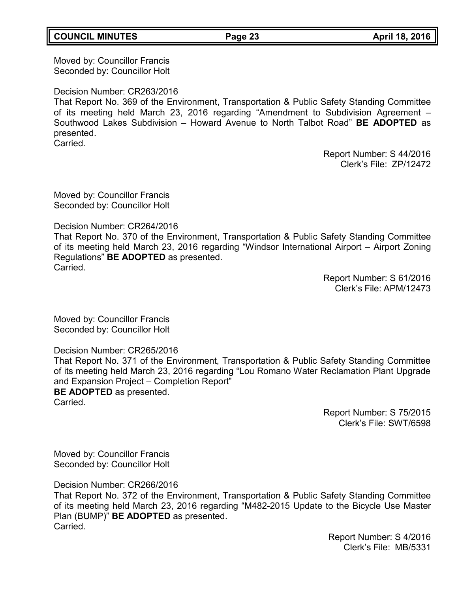# **COUNCIL MINUTES Page 23 April 18, 2016**

Moved by: Councillor Francis Seconded by: Councillor Holt

Decision Number: CR263/2016

That Report No. 369 of the Environment, Transportation & Public Safety Standing Committee of its meeting held March 23, 2016 regarding "Amendment to Subdivision Agreement – Southwood Lakes Subdivision – Howard Avenue to North Talbot Road" **BE ADOPTED** as presented. Carried.

> Report Number: S 44/2016 Clerk's File: ZP/12472

Moved by: Councillor Francis Seconded by: Councillor Holt

Decision Number: CR264/2016

That Report No. 370 of the Environment, Transportation & Public Safety Standing Committee of its meeting held March 23, 2016 regarding "Windsor International Airport – Airport Zoning Regulations" **BE ADOPTED** as presented. Carried.

> Report Number: S 61/2016 Clerk's File: APM/12473

Moved by: Councillor Francis Seconded by: Councillor Holt

Decision Number: CR265/2016

That Report No. 371 of the Environment, Transportation & Public Safety Standing Committee of its meeting held March 23, 2016 regarding "Lou Romano Water Reclamation Plant Upgrade and Expansion Project – Completion Report" **BE ADOPTED** as presented.

Carried.

Report Number: S 75/2015 Clerk's File: SWT/6598

Moved by: Councillor Francis Seconded by: Councillor Holt

Decision Number: CR266/2016

That Report No. 372 of the Environment, Transportation & Public Safety Standing Committee of its meeting held March 23, 2016 regarding "M482-2015 Update to the Bicycle Use Master Plan (BUMP)" **BE ADOPTED** as presented. Carried.

> Report Number: S 4/2016 Clerk's File: MB/5331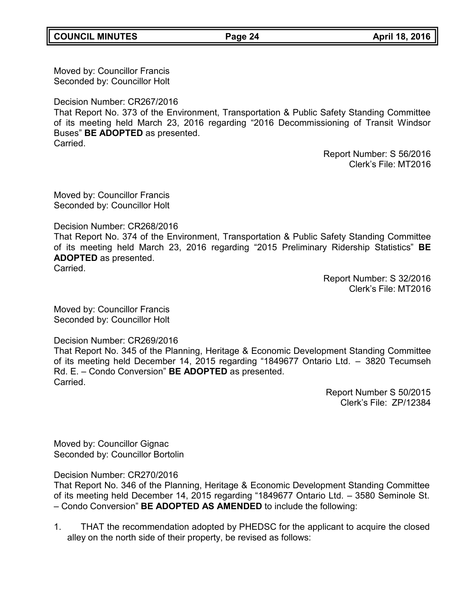**COUNCIL MINUTES Page 24 April 18, 2016**

Moved by: Councillor Francis Seconded by: Councillor Holt

Decision Number: CR267/2016

That Report No. 373 of the Environment, Transportation & Public Safety Standing Committee of its meeting held March 23, 2016 regarding "2016 Decommissioning of Transit Windsor Buses" **BE ADOPTED** as presented. Carried.

> Report Number: S 56/2016 Clerk's File: MT2016

Moved by: Councillor Francis Seconded by: Councillor Holt

Decision Number: CR268/2016

That Report No. 374 of the Environment, Transportation & Public Safety Standing Committee of its meeting held March 23, 2016 regarding "2015 Preliminary Ridership Statistics" **BE ADOPTED** as presented. Carried.

> Report Number: S 32/2016 Clerk's File: MT2016

Moved by: Councillor Francis Seconded by: Councillor Holt

Decision Number: CR269/2016

That Report No. 345 of the Planning, Heritage & Economic Development Standing Committee of its meeting held December 14, 2015 regarding "1849677 Ontario Ltd. – 3820 Tecumseh Rd. E. – Condo Conversion" **BE ADOPTED** as presented. Carried.

> Report Number S 50/2015 Clerk's File: ZP/12384

Moved by: Councillor Gignac Seconded by: Councillor Bortolin

Decision Number: CR270/2016

That Report No. 346 of the Planning, Heritage & Economic Development Standing Committee of its meeting held December 14, 2015 regarding "1849677 Ontario Ltd. – 3580 Seminole St. – Condo Conversion" **BE ADOPTED AS AMENDED** to include the following:

1. THAT the recommendation adopted by PHEDSC for the applicant to acquire the closed alley on the north side of their property, be revised as follows: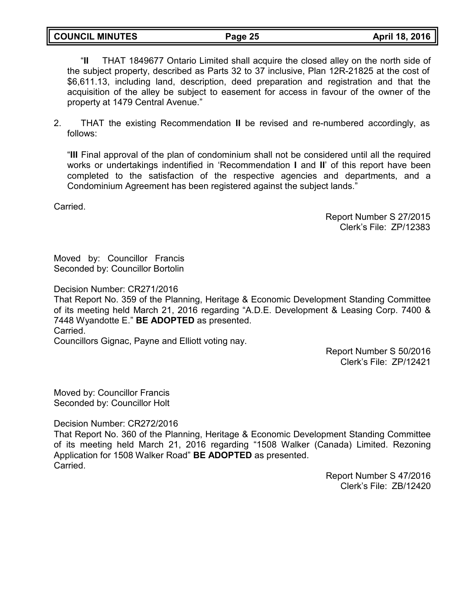**COUNCIL MINUTES Page 25 April 18, 2016**

"**II** THAT 1849677 Ontario Limited shall acquire the closed alley on the north side of the subject property, described as Parts 32 to 37 inclusive, Plan 12R-21825 at the cost of \$6,611.13, including land, description, deed preparation and registration and that the acquisition of the alley be subject to easement for access in favour of the owner of the property at 1479 Central Avenue."

2. THAT the existing Recommendation **II** be revised and re-numbered accordingly, as follows:

"**III** Final approval of the plan of condominium shall not be considered until all the required works or undertakings indentified in 'Recommendation **I** and **II**' of this report have been completed to the satisfaction of the respective agencies and departments, and a Condominium Agreement has been registered against the subject lands."

Carried.

Report Number S 27/2015 Clerk's File: ZP/12383

Moved by: Councillor Francis Seconded by: Councillor Bortolin

Decision Number: CR271/2016

That Report No. 359 of the Planning, Heritage & Economic Development Standing Committee of its meeting held March 21, 2016 regarding "A.D.E. Development & Leasing Corp. 7400 & 7448 Wyandotte E." **BE ADOPTED** as presented. Carried.

Councillors Gignac, Payne and Elliott voting nay.

Report Number S 50/2016 Clerk's File: ZP/12421

Moved by: Councillor Francis Seconded by: Councillor Holt

Decision Number: CR272/2016

That Report No. 360 of the Planning, Heritage & Economic Development Standing Committee of its meeting held March 21, 2016 regarding "1508 Walker (Canada) Limited. Rezoning Application for 1508 Walker Road" **BE ADOPTED** as presented. **Carried** 

> Report Number S 47/2016 Clerk's File: ZB/12420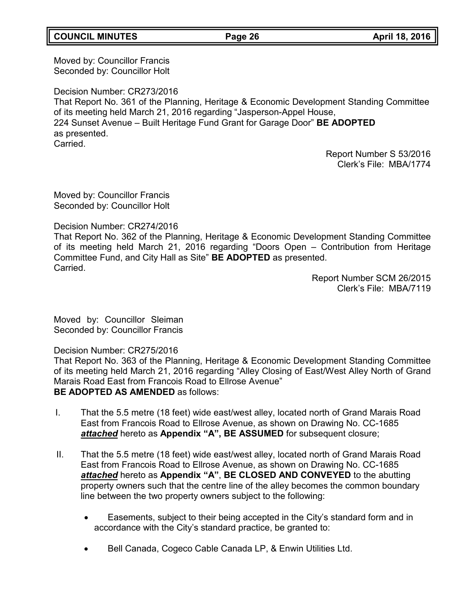# **COUNCIL MINUTES Page 26 April 18, 2016**

Moved by: Councillor Francis Seconded by: Councillor Holt

Decision Number: CR273/2016 That Report No. 361 of the Planning, Heritage & Economic Development Standing Committee of its meeting held March 21, 2016 regarding "Jasperson-Appel House, 224 Sunset Avenue – Built Heritage Fund Grant for Garage Door" **BE ADOPTED** as presented. **Carried** 

> Report Number S 53/2016 Clerk's File: MBA/1774

Moved by: Councillor Francis Seconded by: Councillor Holt

Decision Number: CR274/2016

That Report No. 362 of the Planning, Heritage & Economic Development Standing Committee of its meeting held March 21, 2016 regarding "Doors Open – Contribution from Heritage Committee Fund, and City Hall as Site" **BE ADOPTED** as presented. **Carried** 

> Report Number SCM 26/2015 Clerk's File: MBA/7119

Moved by: Councillor Sleiman Seconded by: Councillor Francis

Decision Number: CR275/2016

That Report No. 363 of the Planning, Heritage & Economic Development Standing Committee of its meeting held March 21, 2016 regarding "Alley Closing of East/West Alley North of Grand Marais Road East from Francois Road to Ellrose Avenue" **BE ADOPTED AS AMENDED** as follows:

- I. That the 5.5 metre (18 feet) wide east/west alley, located north of Grand Marais Road East from Francois Road to Ellrose Avenue, as shown on Drawing No. CC-1685 *attached* hereto as **Appendix "A", BE ASSUMED** for subsequent closure;
- II. That the 5.5 metre (18 feet) wide east/west alley, located north of Grand Marais Road East from Francois Road to Ellrose Avenue, as shown on Drawing No. CC-1685 *attached* hereto as **Appendix "A"**, **BE CLOSED AND CONVEYED** to the abutting property owners such that the centre line of the alley becomes the common boundary line between the two property owners subject to the following:
	- Easements, subject to their being accepted in the City's standard form and in accordance with the City's standard practice, be granted to:
	- Bell Canada, Cogeco Cable Canada LP, & Enwin Utilities Ltd.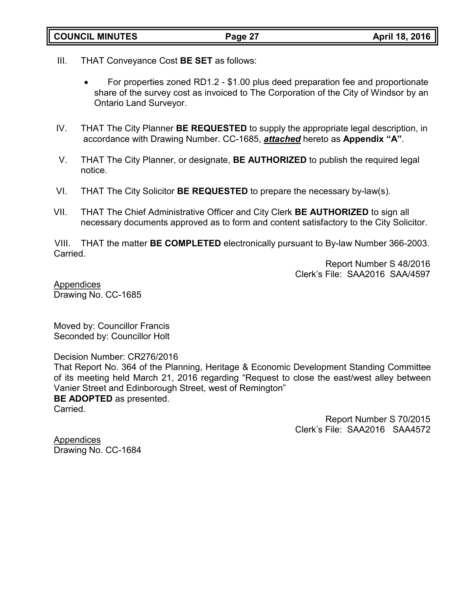- III. THAT Conveyance Cost **BE SET** as follows:
	- For properties zoned RD1.2 \$1.00 plus deed preparation fee and proportionate share of the survey cost as invoiced to The Corporation of the City of Windsor by an Ontario Land Surveyor.
- IV. THAT The City Planner **BE REQUESTED** to supply the appropriate legal description, in accordance with Drawing Number. CC-1685, *attached* hereto as **Appendix "A"**.
- V. THAT The City Planner, or designate, **BE AUTHORIZED** to publish the required legal notice.
- VI. THAT The City Solicitor **BE REQUESTED** to prepare the necessary by-law(s).
- VII. THAT The Chief Administrative Officer and City Clerk **BE AUTHORIZED** to sign all necessary documents approved as to form and content satisfactory to the City Solicitor.

VIII. THAT the matter **BE COMPLETED** electronically pursuant to By-law Number 366-2003. Carried.

> Report Number S 48/2016 Clerk's File: SAA2016 SAA/4597

Appendices Drawing No. CC-1685

Moved by: Councillor Francis Seconded by: Councillor Holt

Decision Number: CR276/2016

That Report No. 364 of the Planning, Heritage & Economic Development Standing Committee of its meeting held March 21, 2016 regarding "Request to close the east/west alley between Vanier Street and Edinborough Street, west of Remington" **BE ADOPTED** as presented.

Carried.

Report Number S 70/2015 Clerk's File: SAA2016 SAA4572

Appendices Drawing No. CC-1684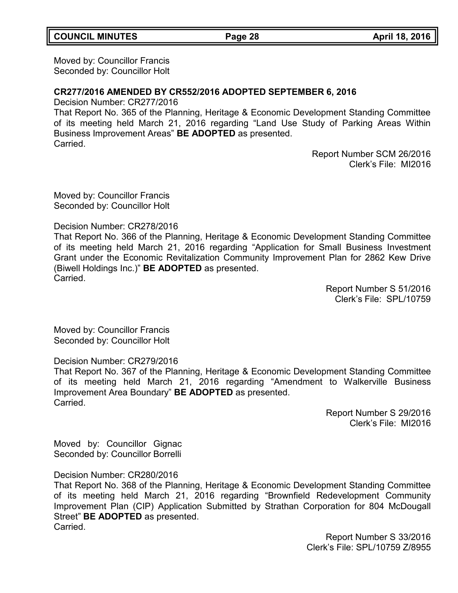Moved by: Councillor Francis Seconded by: Councillor Holt

### **CR277/2016 AMENDED BY CR552/2016 ADOPTED SEPTEMBER 6, 2016**

Decision Number: CR277/2016

That Report No. 365 of the Planning, Heritage & Economic Development Standing Committee of its meeting held March 21, 2016 regarding "Land Use Study of Parking Areas Within Business Improvement Areas" **BE ADOPTED** as presented. Carried.

> Report Number SCM 26/2016 Clerk's File: MI2016

Moved by: Councillor Francis Seconded by: Councillor Holt

Decision Number: CR278/2016

That Report No. 366 of the Planning, Heritage & Economic Development Standing Committee of its meeting held March 21, 2016 regarding "Application for Small Business Investment Grant under the Economic Revitalization Community Improvement Plan for 2862 Kew Drive (Biwell Holdings Inc.)" **BE ADOPTED** as presented. Carried.

> Report Number S 51/2016 Clerk's File: SPL/10759

Moved by: Councillor Francis Seconded by: Councillor Holt

Decision Number: CR279/2016

That Report No. 367 of the Planning, Heritage & Economic Development Standing Committee of its meeting held March 21, 2016 regarding "Amendment to Walkerville Business Improvement Area Boundary" **BE ADOPTED** as presented. Carried.

> Report Number S 29/2016 Clerk's File: MI2016

Moved by: Councillor Gignac Seconded by: Councillor Borrelli

Decision Number: CR280/2016

That Report No. 368 of the Planning, Heritage & Economic Development Standing Committee of its meeting held March 21, 2016 regarding "Brownfield Redevelopment Community Improvement Plan (CIP) Application Submitted by Strathan Corporation for 804 McDougall Street" **BE ADOPTED** as presented. Carried.

> Report Number S 33/2016 Clerk's File: SPL/10759 Z/8955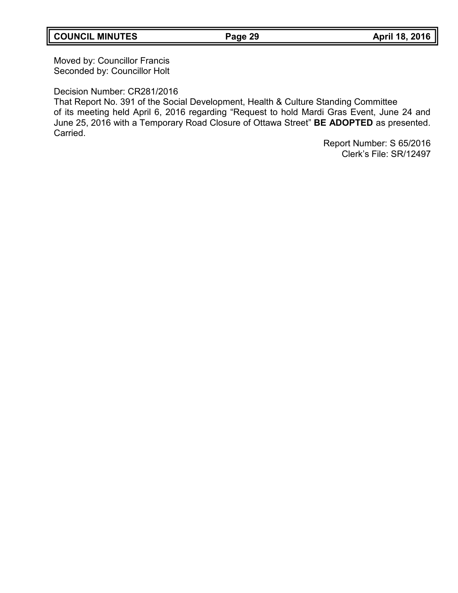Moved by: Councillor Francis Seconded by: Councillor Holt

Decision Number: CR281/2016

That Report No. 391 of the Social Development, Health & Culture Standing Committee of its meeting held April 6, 2016 regarding "Request to hold Mardi Gras Event, June 24 and June 25, 2016 with a Temporary Road Closure of Ottawa Street" **BE ADOPTED** as presented. Carried.

> Report Number: S 65/2016 Clerk's File: SR/12497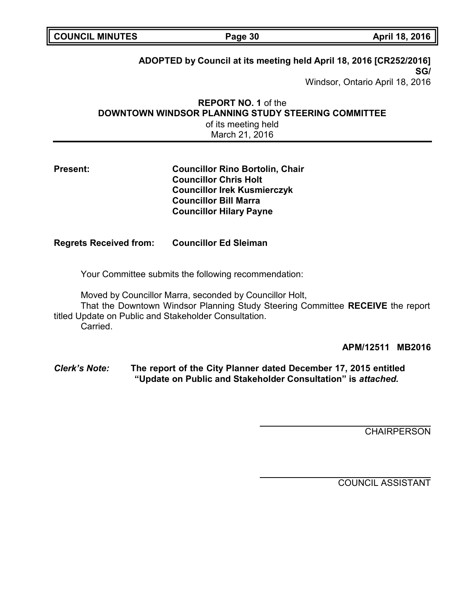| <b>COUNCIL MINUTES</b>                                                                                                                                                                                         | Page 30                                                                                                                                                                        | April 18, 2016                  |
|----------------------------------------------------------------------------------------------------------------------------------------------------------------------------------------------------------------|--------------------------------------------------------------------------------------------------------------------------------------------------------------------------------|---------------------------------|
| ADOPTED by Council at its meeting held April 18, 2016 [CR252/2016]<br>SG/                                                                                                                                      |                                                                                                                                                                                |                                 |
|                                                                                                                                                                                                                |                                                                                                                                                                                | Windsor, Ontario April 18, 2016 |
|                                                                                                                                                                                                                | <b>REPORT NO. 1 of the</b><br><b>DOWNTOWN WINDSOR PLANNING STUDY STEERING COMMITTEE</b><br>of its meeting held<br>March 21, 2016                                               |                                 |
| <b>Present:</b>                                                                                                                                                                                                | <b>Councillor Rino Bortolin, Chair</b><br><b>Councillor Chris Holt</b><br><b>Councillor Irek Kusmierczyk</b><br><b>Councillor Bill Marra</b><br><b>Councillor Hilary Payne</b> |                                 |
| <b>Regrets Received from:</b>                                                                                                                                                                                  | <b>Councillor Ed Sleiman</b>                                                                                                                                                   |                                 |
| Your Committee submits the following recommendation:                                                                                                                                                           |                                                                                                                                                                                |                                 |
| Moved by Councillor Marra, seconded by Councillor Holt,<br>That the Downtown Windsor Planning Study Steering Committee RECEIVE the report<br>titled Update on Public and Stakeholder Consultation.<br>Carried. |                                                                                                                                                                                |                                 |
|                                                                                                                                                                                                                |                                                                                                                                                                                | APM/12511<br><b>MB2016</b>      |
| <b>Clerk's Note:</b>                                                                                                                                                                                           | The report of the City Planner dated December 17, 2015 entitled<br>"Update on Public and Stakeholder Consultation" is attached.                                                |                                 |

**CHAIRPERSON** 

COUNCIL ASSISTANT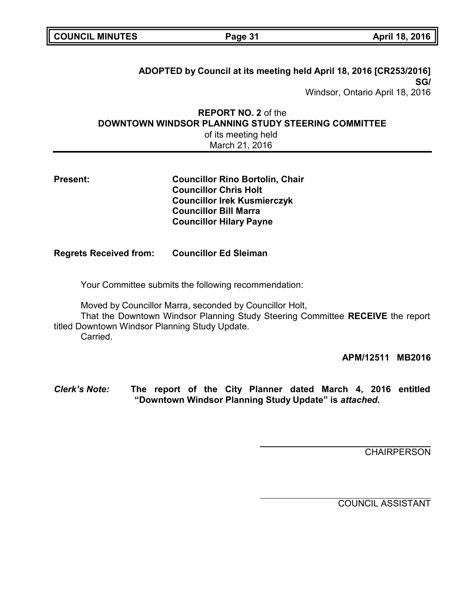| <b>COUNCIL MINUTES</b> |  |
|------------------------|--|
|------------------------|--|

**COUNCIL MINUTES Page 31 April 18, 2016**

# **ADOPTED by Council at its meeting held April 18, 2016 [CR253/2016] SG/**

Windsor, Ontario April 18, 2016

# **REPORT NO. 2** of the **DOWNTOWN WINDSOR PLANNING STUDY STEERING COMMITTEE**

of its meeting held March 21, 2016

| <b>Present:</b> |  |
|-----------------|--|
|-----------------|--|

**Present: Councillor Rino Bortolin, Chair Councillor Chris Holt Councillor Irek Kusmierczyk Councillor Bill Marra Councillor Hilary Payne**

# **Regrets Received from: Councillor Ed Sleiman**

Your Committee submits the following recommendation:

Moved by Councillor Marra, seconded by Councillor Holt,

That the Downtown Windsor Planning Study Steering Committee **RECEIVE** the report titled Downtown Windsor Planning Study Update.

Carried.

**APM/12511 MB2016**

*Clerk's Note:* **The report of the City Planner dated March 4, 2016 entitled "Downtown Windsor Planning Study Update" is** *attached.*

**CHAIRPERSON** 

COUNCIL ASSISTANT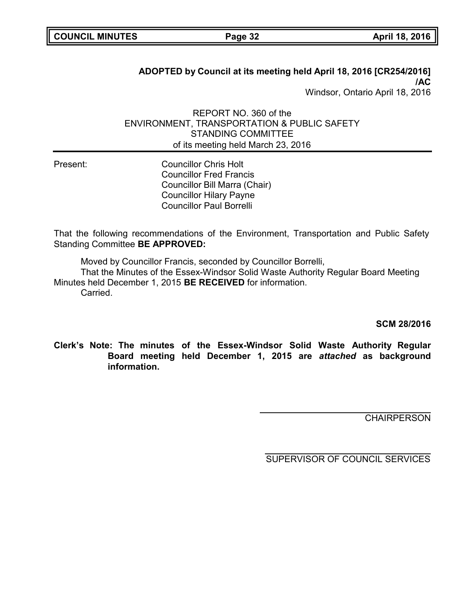# **ADOPTED by Council at its meeting held April 18, 2016 [CR254/2016] /AC** Windsor, Ontario April 18, 2016

# REPORT NO. 360 of the ENVIRONMENT, TRANSPORTATION & PUBLIC SAFETY STANDING COMMITTEE of its meeting held March 23, 2016

Present: Councillor Chris Holt Councillor Fred Francis Councillor Bill Marra (Chair) Councillor Hilary Payne Councillor Paul Borrelli

That the following recommendations of the Environment, Transportation and Public Safety Standing Committee **BE APPROVED:**

Moved by Councillor Francis, seconded by Councillor Borrelli,

That the Minutes of the Essex-Windsor Solid Waste Authority Regular Board Meeting Minutes held December 1, 2015 **BE RECEIVED** for information. Carried.

**SCM 28/2016**

**Clerk's Note: The minutes of the Essex-Windsor Solid Waste Authority Regular Board meeting held December 1, 2015 are** *attached* **as background information.**

**CHAIRPERSON**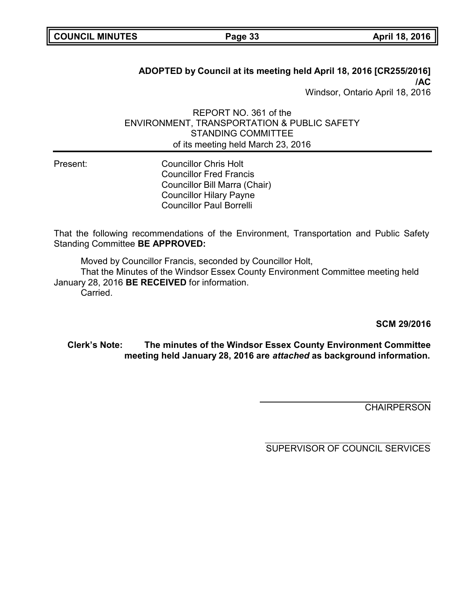# **ADOPTED by Council at its meeting held April 18, 2016 [CR255/2016] /AC** Windsor, Ontario April 18, 2016

# REPORT NO. 361 of the ENVIRONMENT, TRANSPORTATION & PUBLIC SAFETY STANDING COMMITTEE of its meeting held March 23, 2016

Present: Councillor Chris Holt Councillor Fred Francis Councillor Bill Marra (Chair) Councillor Hilary Payne Councillor Paul Borrelli

That the following recommendations of the Environment, Transportation and Public Safety Standing Committee **BE APPROVED:**

Moved by Councillor Francis, seconded by Councillor Holt,

That the Minutes of the Windsor Essex County Environment Committee meeting held January 28, 2016 **BE RECEIVED** for information.

Carried.

**SCM 29/2016**

# **Clerk's Note: The minutes of the Windsor Essex County Environment Committee meeting held January 28, 2016 are** *attached* **as background information.**

**CHAIRPERSON**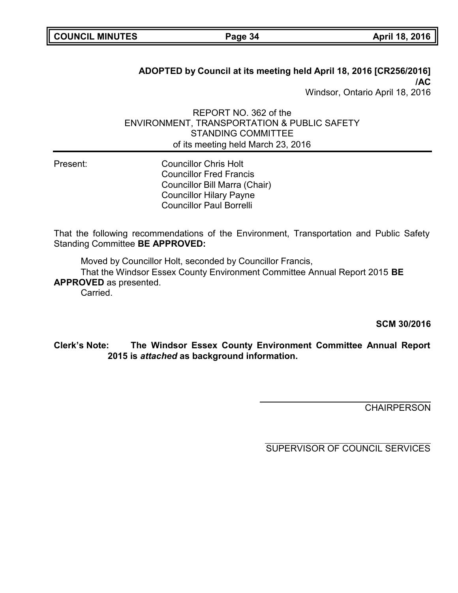# **ADOPTED by Council at its meeting held April 18, 2016 [CR256/2016] /AC** Windsor, Ontario April 18, 2016

## REPORT NO. 362 of the ENVIRONMENT, TRANSPORTATION & PUBLIC SAFETY STANDING COMMITTEE of its meeting held March 23, 2016

Present: Councillor Chris Holt Councillor Fred Francis Councillor Bill Marra (Chair) Councillor Hilary Payne Councillor Paul Borrelli

That the following recommendations of the Environment, Transportation and Public Safety Standing Committee **BE APPROVED:**

Moved by Councillor Holt, seconded by Councillor Francis,

That the Windsor Essex County Environment Committee Annual Report 2015 **BE APPROVED** as presented.

Carried.

**SCM 30/2016**

**Clerk's Note: The Windsor Essex County Environment Committee Annual Report 2015 is** *attached* **as background information.**

**CHAIRPERSON**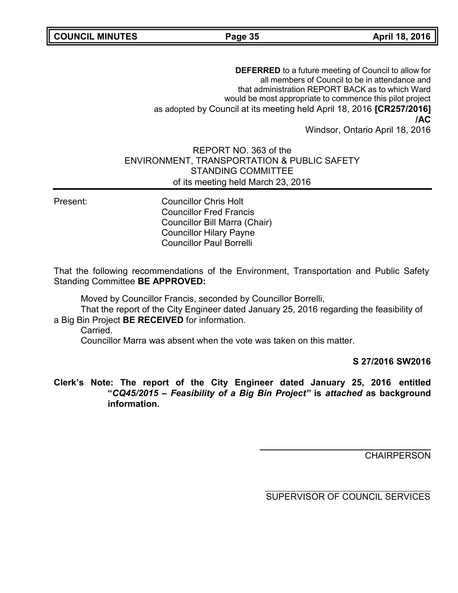**COUNCIL MINUTES Page 35 April 18, 2016**

**DEFERRED** to a future meeting of Council to allow for all members of Council to be in attendance and that administration REPORT BACK as to which Ward would be most appropriate to commence this pilot project as adopted by Council at its meeting held April 18, 2016 **[CR257/2016] /AC** Windsor, Ontario April 18, 2016

REPORT NO. 363 of the ENVIRONMENT, TRANSPORTATION & PUBLIC SAFETY STANDING COMMITTEE of its meeting held March 23, 2016

Present: Councillor Chris Holt Councillor Fred Francis Councillor Bill Marra (Chair) Councillor Hilary Payne Councillor Paul Borrelli

That the following recommendations of the Environment, Transportation and Public Safety Standing Committee **BE APPROVED:**

Moved by Councillor Francis, seconded by Councillor Borrelli,

That the report of the City Engineer dated January 25, 2016 regarding the feasibility of a Big Bin Project **BE RECEIVED** for information.

Carried.

Councillor Marra was absent when the vote was taken on this matter.

**S 27/2016 SW2016**

### **Clerk's Note: The report of the City Engineer dated January 25, 2016 entitled "***CQ45/2015 – Feasibility of a Big Bin Project"* **is** *attached* **as background information.**

**CHAIRPERSON**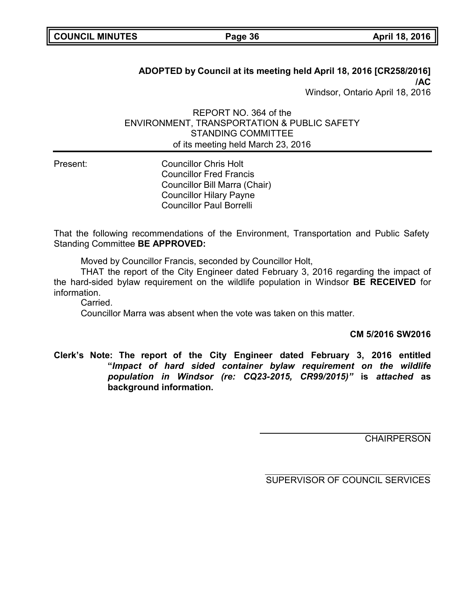# **ADOPTED by Council at its meeting held April 18, 2016 [CR258/2016] /AC** Windsor, Ontario April 18, 2016

### REPORT NO. 364 of the ENVIRONMENT, TRANSPORTATION & PUBLIC SAFETY STANDING COMMITTEE of its meeting held March 23, 2016

Present: Councillor Chris Holt Councillor Fred Francis Councillor Bill Marra (Chair) Councillor Hilary Payne Councillor Paul Borrelli

That the following recommendations of the Environment, Transportation and Public Safety Standing Committee **BE APPROVED:**

Moved by Councillor Francis, seconded by Councillor Holt,

THAT the report of the City Engineer dated February 3, 2016 regarding the impact of the hard-sided bylaw requirement on the wildlife population in Windsor **BE RECEIVED** for information.

Carried.

Councillor Marra was absent when the vote was taken on this matter.

#### **CM 5/2016 SW2016**

**Clerk's Note: The report of the City Engineer dated February 3, 2016 entitled "***Impact of hard sided container bylaw requirement on the wildlife population in Windsor (re: CQ23-2015, CR99/2015)"* **is** *attached* **as background information.**

**CHAIRPERSON**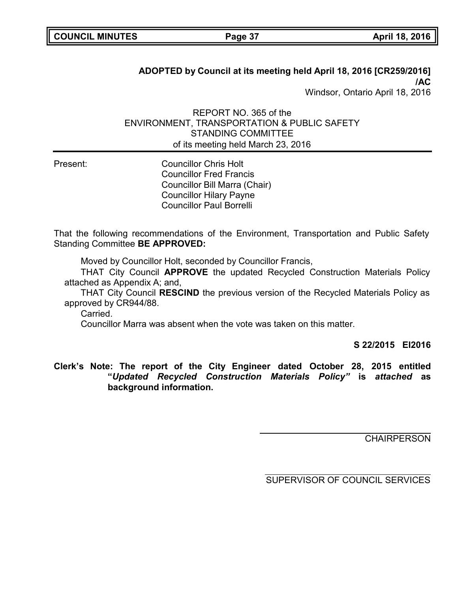# **ADOPTED by Council at its meeting held April 18, 2016 [CR259/2016] /AC** Windsor, Ontario April 18, 2016

### REPORT NO. 365 of the ENVIRONMENT, TRANSPORTATION & PUBLIC SAFETY STANDING COMMITTEE of its meeting held March 23, 2016

Present: Councillor Chris Holt Councillor Fred Francis Councillor Bill Marra (Chair) Councillor Hilary Payne Councillor Paul Borrelli

That the following recommendations of the Environment, Transportation and Public Safety Standing Committee **BE APPROVED:**

Moved by Councillor Holt, seconded by Councillor Francis,

THAT City Council **APPROVE** the updated Recycled Construction Materials Policy attached as Appendix A; and,

THAT City Council **RESCIND** the previous version of the Recycled Materials Policy as approved by CR944/88.

Carried.

Councillor Marra was absent when the vote was taken on this matter.

**S 22/2015 EI2016**

**Clerk's Note: The report of the City Engineer dated October 28, 2015 entitled "***Updated Recycled Construction Materials Policy"* **is** *attached* **as background information.**

**CHAIRPERSON**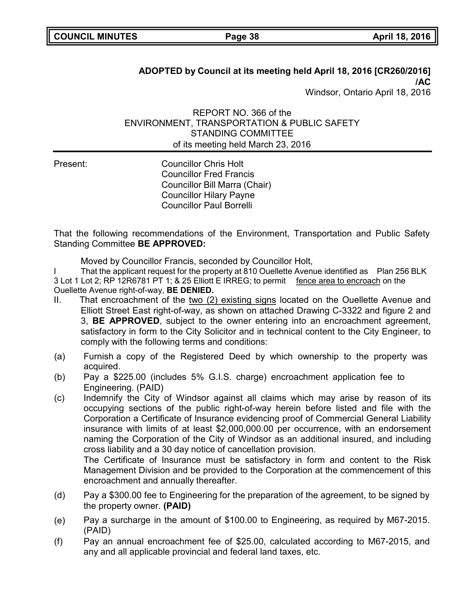# **ADOPTED by Council at its meeting held April 18, 2016 [CR260/2016] /AC** Windsor, Ontario April 18, 2016

REPORT NO. 366 of the ENVIRONMENT, TRANSPORTATION & PUBLIC SAFETY STANDING COMMITTEE of its meeting held March 23, 2016

Present: Councillor Chris Holt Councillor Fred Francis Councillor Bill Marra (Chair) Councillor Hilary Payne Councillor Paul Borrelli

That the following recommendations of the Environment, Transportation and Public Safety Standing Committee **BE APPROVED:**

Moved by Councillor Francis, seconded by Councillor Holt,

I That the applicant request for the property at 810 Ouellette Avenue identified as Plan 256 BLK 3 Lot 1 Lot 2; RP 12R6781 PT 1; & 25 Elliott E IRREG; to permit fence area to encroach on the Ouellette Avenue right-of-way, **BE DENIED.**

- II. That encroachment of the two  $(2)$  existing signs located on the Ouellette Avenue and Elliott Street East right-of-way, as shown on attached Drawing C-3322 and figure 2 and 3, **BE APPROVED**, subject to the owner entering into an encroachment agreement, satisfactory in form to the City Solicitor and in technical content to the City Engineer, to comply with the following terms and conditions:
- (a) Furnish a copy of the Registered Deed by which ownership to the property was acquired.
- (b) Pay a \$225.00 (includes 5% G.I.S. charge) encroachment application fee to Engineering. (PAID)
- (c) Indemnify the City of Windsor against all claims which may arise by reason of its occupying sections of the public right-of-way herein before listed and file with the Corporation a Certificate of Insurance evidencing proof of Commercial General Liability insurance with limits of at least \$2,000,000.00 per occurrence, with an endorsement naming the Corporation of the City of Windsor as an additional insured, and including cross liability and a 30 day notice of cancellation provision.

The Certificate of Insurance must be satisfactory in form and content to the Risk Management Division and be provided to the Corporation at the commencement of this encroachment and annually thereafter.

- (d) Pay a \$300.00 fee to Engineering for the preparation of the agreement, to be signed by the property owner. **(PAID)**
- (e) Pay a surcharge in the amount of \$100.00 to Engineering, as required by M67-2015. (PAID)
- (f) Pay an annual encroachment fee of \$25.00, calculated according to M67-2015, and any and all applicable provincial and federal land taxes, etc.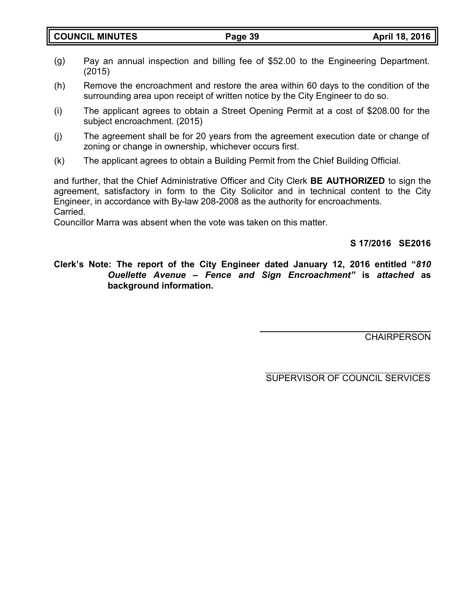- (g) Pay an annual inspection and billing fee of \$52.00 to the Engineering Department. (2015)
- (h) Remove the encroachment and restore the area within 60 days to the condition of the surrounding area upon receipt of written notice by the City Engineer to do so.
- (i) The applicant agrees to obtain a Street Opening Permit at a cost of \$208.00 for the subject encroachment. (2015)
- (j) The agreement shall be for 20 years from the agreement execution date or change of zoning or change in ownership, whichever occurs first.
- (k) The applicant agrees to obtain a Building Permit from the Chief Building Official.

and further, that the Chief Administrative Officer and City Clerk **BE AUTHORIZED** to sign the agreement, satisfactory in form to the City Solicitor and in technical content to the City Engineer, in accordance with By-law 208-2008 as the authority for encroachments. Carried.

Councillor Marra was absent when the vote was taken on this matter.

**S 17/2016 SE2016**

# **Clerk's Note: The report of the City Engineer dated January 12, 2016 entitled "***810 Ouellette Avenue – Fence and Sign Encroachment"* **is** *attached* **as background information.**

**CHAIRPERSON**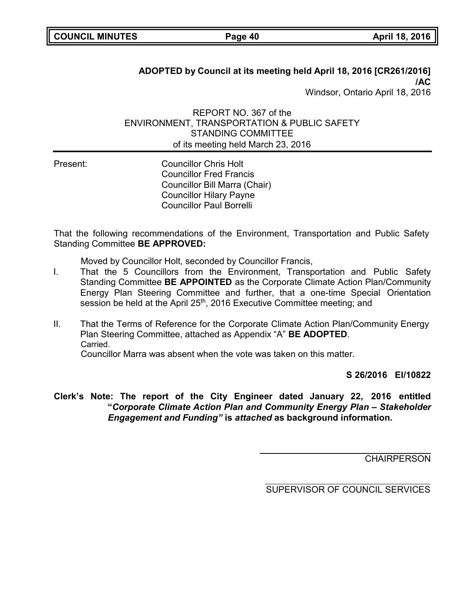# **ADOPTED by Council at its meeting held April 18, 2016 [CR261/2016] /AC** Windsor, Ontario April 18, 2016

## REPORT NO. 367 of the ENVIRONMENT, TRANSPORTATION & PUBLIC SAFETY STANDING COMMITTEE of its meeting held March 23, 2016

Present: Councillor Chris Holt Councillor Fred Francis Councillor Bill Marra (Chair) Councillor Hilary Payne Councillor Paul Borrelli

That the following recommendations of the Environment, Transportation and Public Safety Standing Committee **BE APPROVED:**

Moved by Councillor Holt, seconded by Councillor Francis,

- I. That the 5 Councillors from the Environment, Transportation and Public Safety Standing Committee **BE APPOINTED** as the Corporate Climate Action Plan/Community Energy Plan Steering Committee and further, that a one-time Special Orientation session be held at the April 25<sup>th</sup>, 2016 Executive Committee meeting; and
- II. That the Terms of Reference for the Corporate Climate Action Plan/Community Energy Plan Steering Committee, attached as Appendix "A" **BE ADOPTED**. Carried.

Councillor Marra was absent when the vote was taken on this matter.

**S 26/2016 EI/10822**

**Clerk's Note: The report of the City Engineer dated January 22, 2016 entitled "***Corporate Climate Action Plan and Community Energy Plan – Stakeholder Engagement and Funding"* **is** *attached* **as background information.**

**CHAIRPERSON**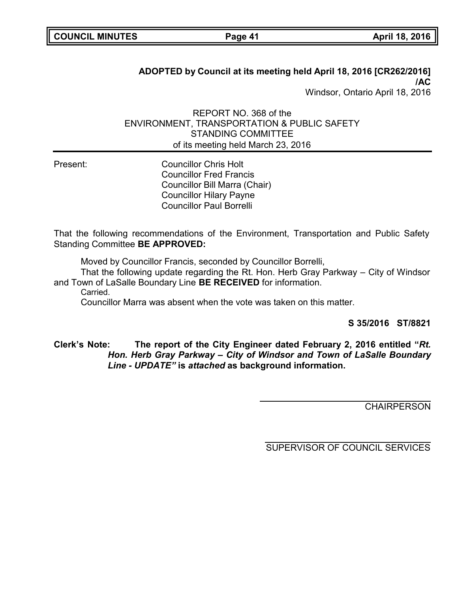# **ADOPTED by Council at its meeting held April 18, 2016 [CR262/2016] /AC** Windsor, Ontario April 18, 2016

# REPORT NO. 368 of the ENVIRONMENT, TRANSPORTATION & PUBLIC SAFETY STANDING COMMITTEE of its meeting held March 23, 2016

Present: Councillor Chris Holt Councillor Fred Francis Councillor Bill Marra (Chair) Councillor Hilary Payne Councillor Paul Borrelli

That the following recommendations of the Environment, Transportation and Public Safety Standing Committee **BE APPROVED:**

Moved by Councillor Francis, seconded by Councillor Borrelli,

That the following update regarding the Rt. Hon. Herb Gray Parkway – City of Windsor and Town of LaSalle Boundary Line **BE RECEIVED** for information.

Carried.

Councillor Marra was absent when the vote was taken on this matter.

**S 35/2016 ST/8821**

# **Clerk's Note: The report of the City Engineer dated February 2, 2016 entitled "***Rt. Hon. Herb Gray Parkway – City of Windsor and Town of LaSalle Boundary Line - UPDATE"* **is** *attached* **as background information.**

**CHAIRPERSON**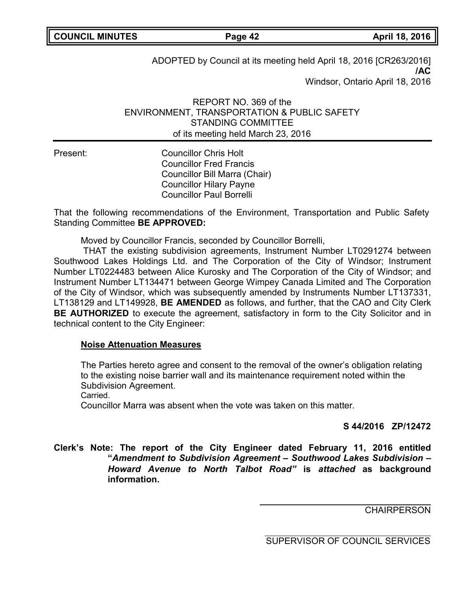ADOPTED by Council at its meeting held April 18, 2016 [CR263/2016] **/AC** Windsor, Ontario April 18, 2016

REPORT NO. 369 of the ENVIRONMENT, TRANSPORTATION & PUBLIC SAFETY STANDING COMMITTEE of its meeting held March 23, 2016

Present: Councillor Chris Holt Councillor Fred Francis Councillor Bill Marra (Chair) Councillor Hilary Payne Councillor Paul Borrelli

That the following recommendations of the Environment, Transportation and Public Safety Standing Committee **BE APPROVED:**

Moved by Councillor Francis, seconded by Councillor Borrelli,

THAT the existing subdivision agreements, Instrument Number LT0291274 between Southwood Lakes Holdings Ltd. and The Corporation of the City of Windsor; Instrument Number LT0224483 between Alice Kurosky and The Corporation of the City of Windsor; and Instrument Number LT134471 between George Wimpey Canada Limited and The Corporation of the City of Windsor, which was subsequently amended by Instruments Number LT137331, LT138129 and LT149928, **BE AMENDED** as follows, and further, that the CAO and City Clerk **BE AUTHORIZED** to execute the agreement, satisfactory in form to the City Solicitor and in technical content to the City Engineer:

#### **Noise Attenuation Measures**

The Parties hereto agree and consent to the removal of the owner's obligation relating to the existing noise barrier wall and its maintenance requirement noted within the Subdivision Agreement.

Carried.

Councillor Marra was absent when the vote was taken on this matter.

#### **S 44/2016 ZP/12472**

**Clerk's Note: The report of the City Engineer dated February 11, 2016 entitled "***Amendment to Subdivision Agreement – Southwood Lakes Subdivision – Howard Avenue to North Talbot Road"* **is** *attached* **as background information.**

**CHAIRPERSON**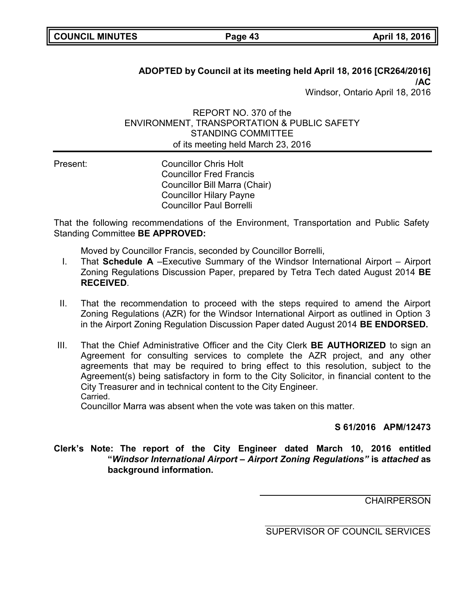# **ADOPTED by Council at its meeting held April 18, 2016 [CR264/2016] /AC**

Windsor, Ontario April 18, 2016

### REPORT NO. 370 of the ENVIRONMENT, TRANSPORTATION & PUBLIC SAFETY STANDING COMMITTEE of its meeting held March 23, 2016

Present: Councillor Chris Holt Councillor Fred Francis Councillor Bill Marra (Chair) Councillor Hilary Payne Councillor Paul Borrelli

That the following recommendations of the Environment, Transportation and Public Safety Standing Committee **BE APPROVED:**

Moved by Councillor Francis, seconded by Councillor Borrelli,

- I. That **Schedule A** –Executive Summary of the Windsor International Airport Airport Zoning Regulations Discussion Paper, prepared by Tetra Tech dated August 2014 **BE RECEIVED**.
- II. That the recommendation to proceed with the steps required to amend the Airport Zoning Regulations (AZR) for the Windsor International Airport as outlined in Option 3 in the Airport Zoning Regulation Discussion Paper dated August 2014 **BE ENDORSED.**
- III. That the Chief Administrative Officer and the City Clerk **BE AUTHORIZED** to sign an Agreement for consulting services to complete the AZR project, and any other agreements that may be required to bring effect to this resolution, subject to the Agreement(s) being satisfactory in form to the City Solicitor, in financial content to the City Treasurer and in technical content to the City Engineer. Carried.

Councillor Marra was absent when the vote was taken on this matter.

**S 61/2016 APM/12473**

**Clerk's Note: The report of the City Engineer dated March 10, 2016 entitled "***Windsor International Airport – Airport Zoning Regulations"* **is** *attached* **as background information.**

**CHAIRPERSON**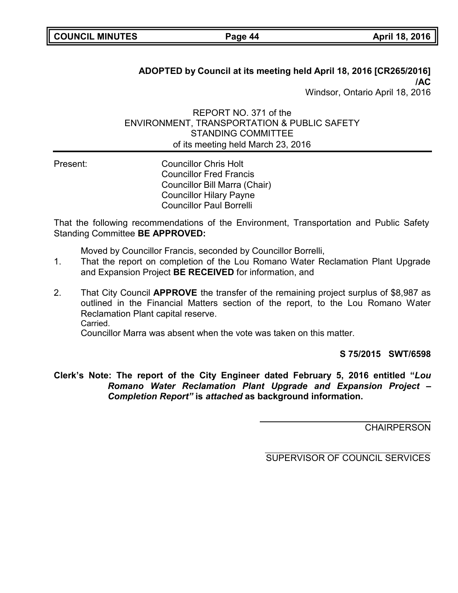# **ADOPTED by Council at its meeting held April 18, 2016 [CR265/2016] /AC**

Windsor, Ontario April 18, 2016

### REPORT NO. 371 of the ENVIRONMENT, TRANSPORTATION & PUBLIC SAFETY STANDING COMMITTEE of its meeting held March 23, 2016

Present: Councillor Chris Holt Councillor Fred Francis Councillor Bill Marra (Chair) Councillor Hilary Payne Councillor Paul Borrelli

That the following recommendations of the Environment, Transportation and Public Safety Standing Committee **BE APPROVED:**

Moved by Councillor Francis, seconded by Councillor Borrelli,

- 1. That the report on completion of the Lou Romano Water Reclamation Plant Upgrade and Expansion Project **BE RECEIVED** for information, and
- 2. That City Council **APPROVE** the transfer of the remaining project surplus of \$8,987 as outlined in the Financial Matters section of the report, to the Lou Romano Water Reclamation Plant capital reserve. Carried.

Councillor Marra was absent when the vote was taken on this matter.

**S 75/2015 SWT/6598**

**Clerk's Note: The report of the City Engineer dated February 5, 2016 entitled "***Lou Romano Water Reclamation Plant Upgrade and Expansion Project – Completion Report"* **is** *attached* **as background information.**

**CHAIRPERSON**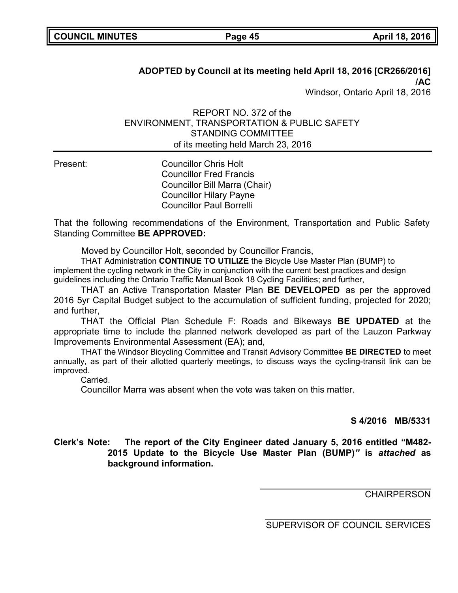# **ADOPTED by Council at its meeting held April 18, 2016 [CR266/2016] /AC**

Windsor, Ontario April 18, 2016

### REPORT NO. 372 of the ENVIRONMENT, TRANSPORTATION & PUBLIC SAFETY STANDING COMMITTEE of its meeting held March 23, 2016

Present: Councillor Chris Holt Councillor Fred Francis Councillor Bill Marra (Chair) Councillor Hilary Payne Councillor Paul Borrelli

That the following recommendations of the Environment, Transportation and Public Safety Standing Committee **BE APPROVED:**

Moved by Councillor Holt, seconded by Councillor Francis,

THAT Administration **CONTINUE TO UTILIZE** the Bicycle Use Master Plan (BUMP) to implement the cycling network in the City in conjunction with the current best practices and design guidelines including the Ontario Traffic Manual Book 18 Cycling Facilities; and further,

THAT an Active Transportation Master Plan **BE DEVELOPED** as per the approved 2016 5yr Capital Budget subject to the accumulation of sufficient funding, projected for 2020; and further

THAT the Official Plan Schedule F: Roads and Bikeways **BE UPDATED** at the appropriate time to include the planned network developed as part of the Lauzon Parkway Improvements Environmental Assessment (EA); and,

THAT the Windsor Bicycling Committee and Transit Advisory Committee **BE DIRECTED** to meet annually, as part of their allotted quarterly meetings, to discuss ways the cycling-transit link can be improved.

Carried.

Councillor Marra was absent when the vote was taken on this matter.

### **S 4/2016 MB/5331**

# **Clerk's Note: The report of the City Engineer dated January 5, 2016 entitled "M482- 2015 Update to the Bicycle Use Master Plan (BUMP)***"* **is** *attached* **as background information.**

**CHAIRPERSON**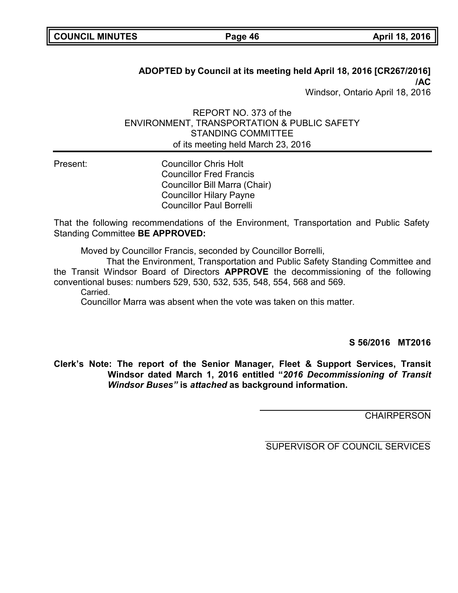# **ADOPTED by Council at its meeting held April 18, 2016 [CR267/2016] /AC**

Windsor, Ontario April 18, 2016

### REPORT NO. 373 of the ENVIRONMENT, TRANSPORTATION & PUBLIC SAFETY STANDING COMMITTEE of its meeting held March 23, 2016

Present: Councillor Chris Holt Councillor Fred Francis Councillor Bill Marra (Chair) Councillor Hilary Payne Councillor Paul Borrelli

That the following recommendations of the Environment, Transportation and Public Safety Standing Committee **BE APPROVED:**

Moved by Councillor Francis, seconded by Councillor Borrelli,

That the Environment, Transportation and Public Safety Standing Committee and the Transit Windsor Board of Directors **APPROVE** the decommissioning of the following conventional buses: numbers 529, 530, 532, 535, 548, 554, 568 and 569.

Carried.

Councillor Marra was absent when the vote was taken on this matter.

**S 56/2016 MT2016**

**Clerk's Note: The report of the Senior Manager, Fleet & Support Services, Transit Windsor dated March 1, 2016 entitled "***2016 Decommissioning of Transit Windsor Buses"* **is** *attached* **as background information.**

**CHAIRPERSON**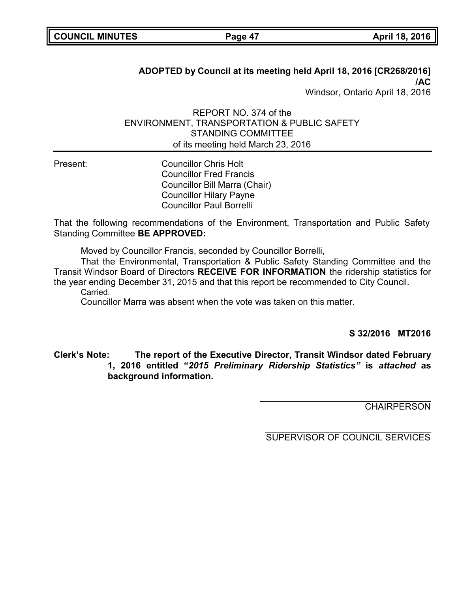# **ADOPTED by Council at its meeting held April 18, 2016 [CR268/2016] /AC**

Windsor, Ontario April 18, 2016

### REPORT NO. 374 of the ENVIRONMENT, TRANSPORTATION & PUBLIC SAFETY STANDING COMMITTEE of its meeting held March 23, 2016

Present: Councillor Chris Holt Councillor Fred Francis Councillor Bill Marra (Chair) Councillor Hilary Payne Councillor Paul Borrelli

That the following recommendations of the Environment, Transportation and Public Safety Standing Committee **BE APPROVED:**

Moved by Councillor Francis, seconded by Councillor Borrelli,

That the Environmental, Transportation & Public Safety Standing Committee and the Transit Windsor Board of Directors **RECEIVE FOR INFORMATION** the ridership statistics for the year ending December 31, 2015 and that this report be recommended to City Council. Carried.

Councillor Marra was absent when the vote was taken on this matter.

**S 32/2016 MT2016**

**Clerk's Note: The report of the Executive Director, Transit Windsor dated February 1, 2016 entitled "***2015 Preliminary Ridership Statistics"* **is** *attached* **as background information.**

**CHAIRPERSON**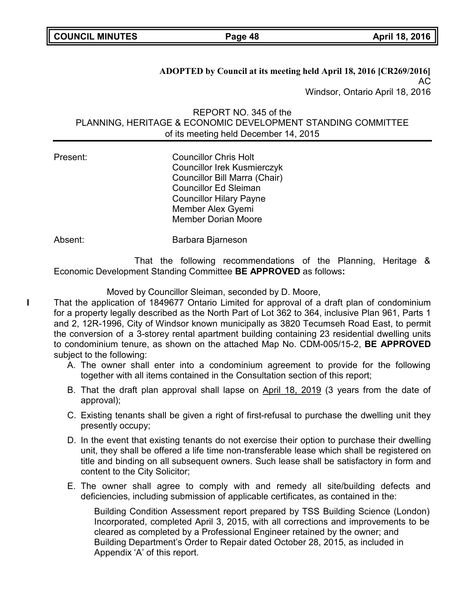**ADOPTED by Council at its meeting held April 18, 2016 [CR269/2016]** AC Windsor, Ontario April 18, 2016

REPORT NO. 345 of the PLANNING, HERITAGE & ECONOMIC DEVELOPMENT STANDING COMMITTEE of its meeting held December 14, 2015

Present: Councillor Chris Holt Councillor Irek Kusmierczyk Councillor Bill Marra (Chair) Councillor Ed Sleiman Councillor Hilary Payne Member Alex Gyemi Member Dorian Moore

Absent: Barbara Bjarneson

That the following recommendations of the Planning, Heritage & Economic Development Standing Committee **BE APPROVED** as follows**:**

Moved by Councillor Sleiman, seconded by D. Moore,

**I** That the application of 1849677 Ontario Limited for approval of a draft plan of condominium for a property legally described as the North Part of Lot 362 to 364, inclusive Plan 961, Parts 1 and 2, 12R-1996, City of Windsor known municipally as 3820 Tecumseh Road East, to permit the conversion of a 3-storey rental apartment building containing 23 residential dwelling units to condominium tenure, as shown on the attached Map No. CDM-005/15-2, **BE APPROVED** subject to the following:

- A. The owner shall enter into a condominium agreement to provide for the following together with all items contained in the Consultation section of this report;
- B. That the draft plan approval shall lapse on April 18, 2019 (3 years from the date of approval);
- C. Existing tenants shall be given a right of first-refusal to purchase the dwelling unit they presently occupy;
- D. In the event that existing tenants do not exercise their option to purchase their dwelling unit, they shall be offered a life time non-transferable lease which shall be registered on title and binding on all subsequent owners. Such lease shall be satisfactory in form and content to the City Solicitor;
- E. The owner shall agree to comply with and remedy all site/building defects and deficiencies, including submission of applicable certificates, as contained in the:

Building Condition Assessment report prepared by TSS Building Science (London) Incorporated, completed April 3, 2015, with all corrections and improvements to be cleared as completed by a Professional Engineer retained by the owner; and Building Department's Order to Repair dated October 28, 2015, as included in Appendix 'A' of this report.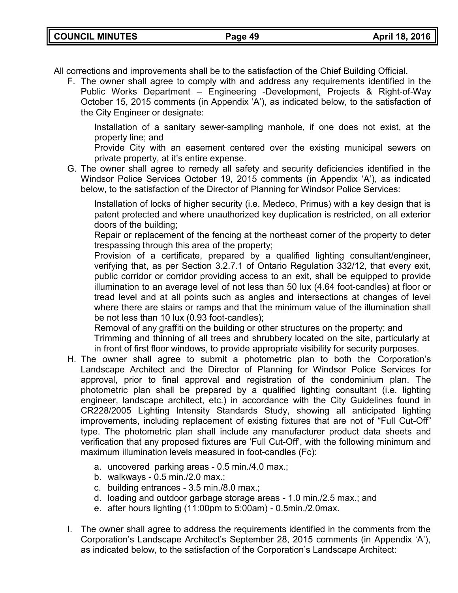All corrections and improvements shall be to the satisfaction of the Chief Building Official.

F. The owner shall agree to comply with and address any requirements identified in the Public Works Department – Engineering -Development, Projects & Right-of-Way October 15, 2015 comments (in Appendix 'A'), as indicated below, to the satisfaction of the City Engineer or designate:

Installation of a sanitary sewer-sampling manhole, if one does not exist, at the property line; and

Provide City with an easement centered over the existing municipal sewers on private property, at it's entire expense.

G. The owner shall agree to remedy all safety and security deficiencies identified in the Windsor Police Services October 19, 2015 comments (in Appendix 'A'), as indicated below, to the satisfaction of the Director of Planning for Windsor Police Services:

Installation of locks of higher security (i.e. Medeco, Primus) with a key design that is patent protected and where unauthorized key duplication is restricted, on all exterior doors of the building;

Repair or replacement of the fencing at the northeast corner of the property to deter trespassing through this area of the property;

Provision of a certificate, prepared by a qualified lighting consultant/engineer, verifying that, as per Section 3.2.7.1 of Ontario Regulation 332/12, that every exit, public corridor or corridor providing access to an exit, shall be equipped to provide illumination to an average level of not less than 50 lux (4.64 foot-candles) at floor or tread level and at all points such as angles and intersections at changes of level where there are stairs or ramps and that the minimum value of the illumination shall be not less than 10 lux (0.93 foot-candles);

Removal of any graffiti on the building or other structures on the property; and

Trimming and thinning of all trees and shrubbery located on the site, particularly at in front of first floor windows, to provide appropriate visibility for security purposes.

- H. The owner shall agree to submit a photometric plan to both the Corporation's Landscape Architect and the Director of Planning for Windsor Police Services for approval, prior to final approval and registration of the condominium plan. The photometric plan shall be prepared by a qualified lighting consultant (i.e. lighting engineer, landscape architect, etc.) in accordance with the City Guidelines found in CR228/2005 Lighting Intensity Standards Study, showing all anticipated lighting improvements, including replacement of existing fixtures that are not of "Full Cut-Off" type. The photometric plan shall include any manufacturer product data sheets and verification that any proposed fixtures are 'Full Cut-Off', with the following minimum and maximum illumination levels measured in foot-candles (Fc):
	- a. uncovered parking areas 0.5 min./4.0 max.;
	- b. walkways 0.5 min./2.0 max.;
	- c. building entrances 3.5 min./8.0 max.;
	- d. loading and outdoor garbage storage areas 1.0 min./2.5 max.; and
	- e. after hours lighting (11:00pm to 5:00am) 0.5min./2.0max.
- I. The owner shall agree to address the requirements identified in the comments from the Corporation's Landscape Architect's September 28, 2015 comments (in Appendix 'A'), as indicated below, to the satisfaction of the Corporation's Landscape Architect: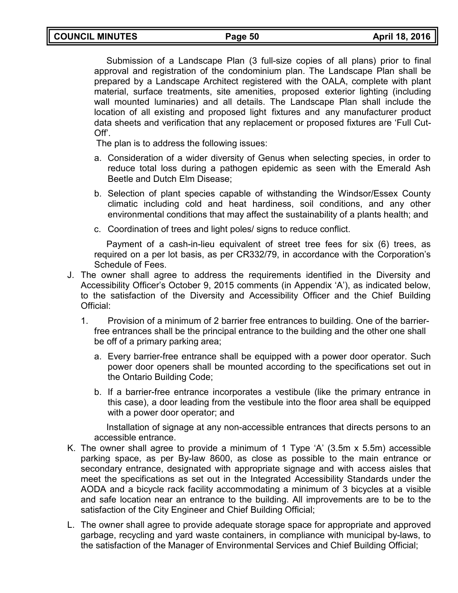Submission of a Landscape Plan (3 full-size copies of all plans) prior to final approval and registration of the condominium plan. The Landscape Plan shall be prepared by a Landscape Architect registered with the OALA, complete with plant material, surface treatments, site amenities, proposed exterior lighting (including wall mounted luminaries) and all details. The Landscape Plan shall include the location of all existing and proposed light fixtures and any manufacturer product data sheets and verification that any replacement or proposed fixtures are 'Full Cut-Off'.

The plan is to address the following issues:

- a. Consideration of a wider diversity of Genus when selecting species, in order to reduce total loss during a pathogen epidemic as seen with the Emerald Ash Beetle and Dutch Elm Disease;
- b. Selection of plant species capable of withstanding the Windsor/Essex County climatic including cold and heat hardiness, soil conditions, and any other environmental conditions that may affect the sustainability of a plants health; and
- c. Coordination of trees and light poles/ signs to reduce conflict.

Payment of a cash-in-lieu equivalent of street tree fees for six (6) trees, as required on a per lot basis, as per CR332/79, in accordance with the Corporation's Schedule of Fees.

- J. The owner shall agree to address the requirements identified in the Diversity and Accessibility Officer's October 9, 2015 comments (in Appendix 'A'), as indicated below, to the satisfaction of the Diversity and Accessibility Officer and the Chief Building Official:
	- 1. Provision of a minimum of 2 barrier free entrances to building. One of the barrierfree entrances shall be the principal entrance to the building and the other one shall be off of a primary parking area;
		- a. Every barrier-free entrance shall be equipped with a power door operator. Such power door openers shall be mounted according to the specifications set out in the Ontario Building Code;
		- b. If a barrier-free entrance incorporates a vestibule (like the primary entrance in this case), a door leading from the vestibule into the floor area shall be equipped with a power door operator; and

Installation of signage at any non-accessible entrances that directs persons to an accessible entrance.

- K. The owner shall agree to provide a minimum of 1 Type 'A' (3.5m x 5.5m) accessible parking space, as per By-law 8600, as close as possible to the main entrance or secondary entrance, designated with appropriate signage and with access aisles that meet the specifications as set out in the Integrated Accessibility Standards under the AODA and a bicycle rack facility accommodating a minimum of 3 bicycles at a visible and safe location near an entrance to the building. All improvements are to be to the satisfaction of the City Engineer and Chief Building Official;
- L. The owner shall agree to provide adequate storage space for appropriate and approved garbage, recycling and yard waste containers, in compliance with municipal by-laws, to the satisfaction of the Manager of Environmental Services and Chief Building Official;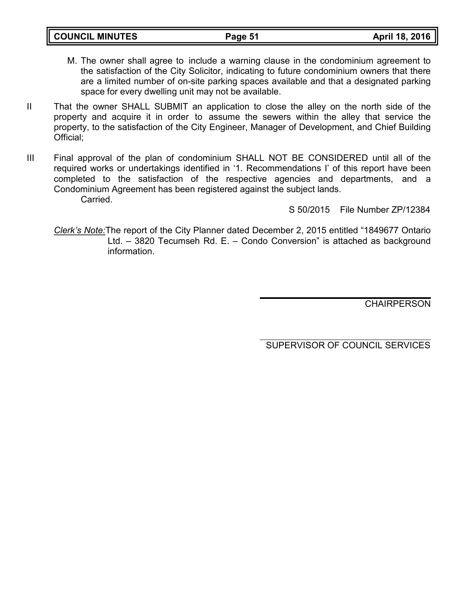| <b>COUNCIL MINUTES</b> |  |
|------------------------|--|
|------------------------|--|

- M. The owner shall agree to include a warning clause in the condominium agreement to the satisfaction of the City Solicitor, indicating to future condominium owners that there are a limited number of on-site parking spaces available and that a designated parking space for every dwelling unit may not be available.
- II That the owner SHALL SUBMIT an application to close the alley on the north side of the property and acquire it in order to assume the sewers within the alley that service the property, to the satisfaction of the City Engineer, Manager of Development, and Chief Building Official;
- III Final approval of the plan of condominium SHALL NOT BE CONSIDERED until all of the required works or undertakings identified in '1. Recommendations I' of this report have been completed to the satisfaction of the respective agencies and departments, and a Condominium Agreement has been registered against the subject lands. Carried.

S 50/2015 File Number ZP/12384

*Clerk's Note:*The report of the City Planner dated December 2, 2015 entitled "1849677 Ontario Ltd. – 3820 Tecumseh Rd. E. – Condo Conversion" is attached as background information.

**CHAIRPERSON**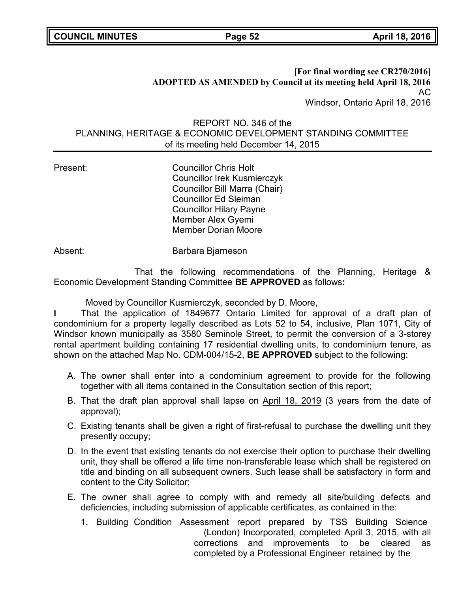**[For final wording see CR270/2016] ADOPTED AS AMENDED by Council at its meeting held April 18, 2016** AC Windsor, Ontario April 18, 2016

### REPORT NO. 346 of the PLANNING, HERITAGE & ECONOMIC DEVELOPMENT STANDING COMMITTEE of its meeting held December 14, 2015

Present: Councillor Chris Holt Councillor Irek Kusmierczyk Councillor Bill Marra (Chair) Councillor Ed Sleiman Councillor Hilary Payne Member Alex Gyemi Member Dorian Moore

Absent: Barbara Bjarneson

That the following recommendations of the Planning, Heritage & Economic Development Standing Committee **BE APPROVED** as follows**:**

Moved by Councillor Kusmierczyk, seconded by D. Moore,

**I** That the application of 1849677 Ontario Limited for approval of a draft plan of condominium for a property legally described as Lots 52 to 54, inclusive, Plan 1071, City of Windsor known municipally as 3580 Seminole Street, to permit the conversion of a 3-storey rental apartment building containing 17 residential dwelling units, to condominium tenure, as shown on the attached Map No. CDM-004/15-2, **BE APPROVED** subject to the following:

- A. The owner shall enter into a condominium agreement to provide for the following together with all items contained in the Consultation section of this report;
- B. That the draft plan approval shall lapse on April 18, 2019 (3 years from the date of approval);
- C. Existing tenants shall be given a right of first-refusal to purchase the dwelling unit they presently occupy;
- D. In the event that existing tenants do not exercise their option to purchase their dwelling unit, they shall be offered a life time non-transferable lease which shall be registered on title and binding on all subsequent owners. Such lease shall be satisfactory in form and content to the City Solicitor;
- E. The owner shall agree to comply with and remedy all site/building defects and deficiencies, including submission of applicable certificates, as contained in the:
	- 1. Building Condition Assessment report prepared by TSS Building Science (London) Incorporated, completed April 3, 2015, with all corrections and improvements to be cleared as completed by a Professional Engineer retained by the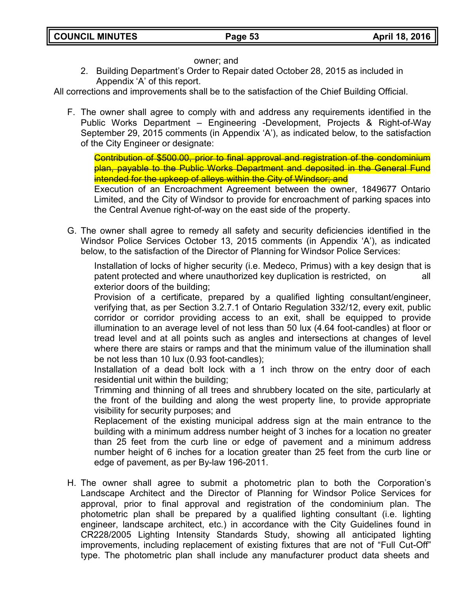### owner; and

2. Building Department's Order to Repair dated October 28, 2015 as included in Appendix 'A' of this report.

All corrections and improvements shall be to the satisfaction of the Chief Building Official.

F. The owner shall agree to comply with and address any requirements identified in the Public Works Department – Engineering -Development, Projects & Right-of-Way September 29, 2015 comments (in Appendix 'A'), as indicated below, to the satisfaction of the City Engineer or designate:

Contribution of \$500.00, prior to final approval and registration of the condominium plan, payable to the Public Works Department and deposited in the General Fund intended for the upkeep of alleys within the City of Windsor; and

Execution of an Encroachment Agreement between the owner, 1849677 Ontario Limited, and the City of Windsor to provide for encroachment of parking spaces into the Central Avenue right-of-way on the east side of the property.

G. The owner shall agree to remedy all safety and security deficiencies identified in the Windsor Police Services October 13, 2015 comments (in Appendix 'A'), as indicated below, to the satisfaction of the Director of Planning for Windsor Police Services:

Installation of locks of higher security (i.e. Medeco, Primus) with a key design that is patent protected and where unauthorized key duplication is restricted, on all exterior doors of the building;

Provision of a certificate, prepared by a qualified lighting consultant/engineer, verifying that, as per Section 3.2.7.1 of Ontario Regulation 332/12, every exit, public corridor or corridor providing access to an exit, shall be equipped to provide illumination to an average level of not less than 50 lux (4.64 foot-candles) at floor or tread level and at all points such as angles and intersections at changes of level where there are stairs or ramps and that the minimum value of the illumination shall be not less than 10 lux (0.93 foot-candles);

Installation of a dead bolt lock with a 1 inch throw on the entry door of each residential unit within the building;

Trimming and thinning of all trees and shrubbery located on the site, particularly at the front of the building and along the west property line, to provide appropriate visibility for security purposes; and

Replacement of the existing municipal address sign at the main entrance to the building with a minimum address number height of 3 inches for a location no greater than 25 feet from the curb line or edge of pavement and a minimum address number height of 6 inches for a location greater than 25 feet from the curb line or edge of pavement, as per By-law 196-2011.

H. The owner shall agree to submit a photometric plan to both the Corporation's Landscape Architect and the Director of Planning for Windsor Police Services for approval, prior to final approval and registration of the condominium plan. The photometric plan shall be prepared by a qualified lighting consultant (i.e. lighting engineer, landscape architect, etc.) in accordance with the City Guidelines found in CR228/2005 Lighting Intensity Standards Study, showing all anticipated lighting improvements, including replacement of existing fixtures that are not of "Full Cut-Off" type. The photometric plan shall include any manufacturer product data sheets and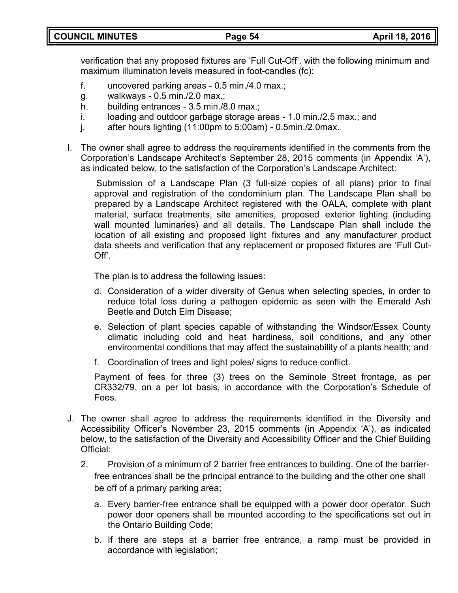verification that any proposed fixtures are 'Full Cut-Off', with the following minimum and maximum illumination levels measured in foot-candles (fc):

- f. uncovered parking areas 0.5 min./4.0 max.;
- g. walkways 0.5 min./2.0 max.;
- h. building entrances 3.5 min./8.0 max.;
- i. loading and outdoor garbage storage areas 1.0 min./2.5 max.; and
- j. after hours lighting (11:00pm to 5:00am) 0.5min./2.0max.
- I. The owner shall agree to address the requirements identified in the comments from the Corporation's Landscape Architect's September 28, 2015 comments (in Appendix 'A'), as indicated below, to the satisfaction of the Corporation's Landscape Architect:

Submission of a Landscape Plan (3 full-size copies of all plans) prior to final approval and registration of the condominium plan. The Landscape Plan shall be prepared by a Landscape Architect registered with the OALA, complete with plant material, surface treatments, site amenities, proposed exterior lighting (including wall mounted luminaries) and all details. The Landscape Plan shall include the location of all existing and proposed light fixtures and any manufacturer product data sheets and verification that any replacement or proposed fixtures are 'Full Cut-Off'.

The plan is to address the following issues:

- d. Consideration of a wider diversity of Genus when selecting species, in order to reduce total loss during a pathogen epidemic as seen with the Emerald Ash Beetle and Dutch Elm Disease;
- e. Selection of plant species capable of withstanding the Windsor/Essex County climatic including cold and heat hardiness, soil conditions, and any other environmental conditions that may affect the sustainability of a plants health; and
- f. Coordination of trees and light poles/ signs to reduce conflict.

Payment of fees for three (3) trees on the Seminole Street frontage, as per CR332/79, on a per lot basis, in accordance with the Corporation's Schedule of Fees.

- J. The owner shall agree to address the requirements identified in the Diversity and Accessibility Officer's November 23, 2015 comments (in Appendix 'A'), as indicated below, to the satisfaction of the Diversity and Accessibility Officer and the Chief Building Official:
	- 2. Provision of a minimum of 2 barrier free entrances to building. One of the barrierfree entrances shall be the principal entrance to the building and the other one shall be off of a primary parking area;
		- a. Every barrier-free entrance shall be equipped with a power door operator. Such power door openers shall be mounted according to the specifications set out in the Ontario Building Code;
		- b. If there are steps at a barrier free entrance, a ramp must be provided in accordance with legislation;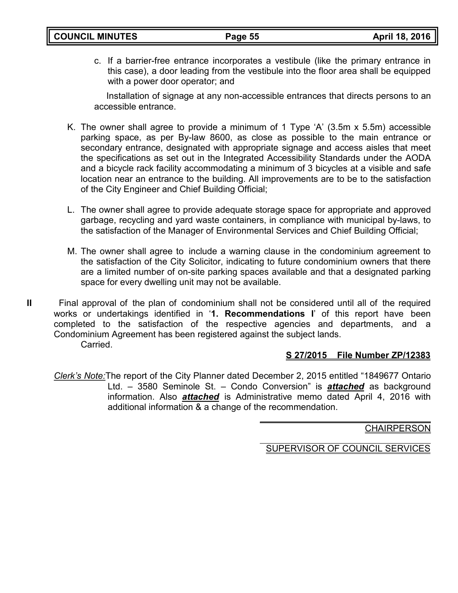c. If a barrier-free entrance incorporates a vestibule (like the primary entrance in this case), a door leading from the vestibule into the floor area shall be equipped with a power door operator; and

Installation of signage at any non-accessible entrances that directs persons to an accessible entrance.

- K. The owner shall agree to provide a minimum of 1 Type 'A' (3.5m x 5.5m) accessible parking space, as per By-law 8600, as close as possible to the main entrance or secondary entrance, designated with appropriate signage and access aisles that meet the specifications as set out in the Integrated Accessibility Standards under the AODA and a bicycle rack facility accommodating a minimum of 3 bicycles at a visible and safe location near an entrance to the building. All improvements are to be to the satisfaction of the City Engineer and Chief Building Official;
- L. The owner shall agree to provide adequate storage space for appropriate and approved garbage, recycling and yard waste containers, in compliance with municipal by-laws, to the satisfaction of the Manager of Environmental Services and Chief Building Official;
- M. The owner shall agree to include a warning clause in the condominium agreement to the satisfaction of the City Solicitor, indicating to future condominium owners that there are a limited number of on-site parking spaces available and that a designated parking space for every dwelling unit may not be available.
- **II** Final approval of the plan of condominium shall not be considered until all of the required works or undertakings identified in '**1. Recommendations I**' of this report have been completed to the satisfaction of the respective agencies and departments, and a Condominium Agreement has been registered against the subject lands.

Carried.

# **S 27/2015 File Number ZP/12383**

*Clerk's Note:*The report of the City Planner dated December 2, 2015 entitled "1849677 Ontario Ltd. – 3580 Seminole St. – Condo Conversion" is *attached* as background information. Also *attached* is Administrative memo dated April 4, 2016 with additional information & a change of the recommendation.

**CHAIRPERSON**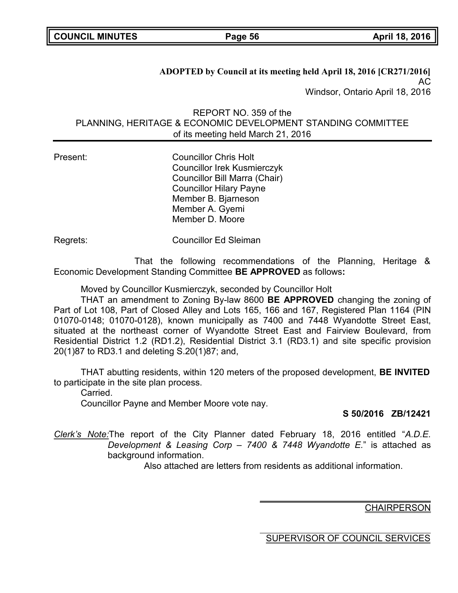**ADOPTED by Council at its meeting held April 18, 2016 [CR271/2016]** AC Windsor, Ontario April 18, 2016

REPORT NO. 359 of the PLANNING, HERITAGE & ECONOMIC DEVELOPMENT STANDING COMMITTEE of its meeting held March 21, 2016

Present: Councillor Chris Holt Councillor Irek Kusmierczyk Councillor Bill Marra (Chair) Councillor Hilary Payne Member B. Bjarneson Member A. Gyemi Member D. Moore

Regrets: Councillor Ed Sleiman

That the following recommendations of the Planning, Heritage & Economic Development Standing Committee **BE APPROVED** as follows**:**

Moved by Councillor Kusmierczyk, seconded by Councillor Holt

THAT an amendment to Zoning By-law 8600 **BE APPROVED** changing the zoning of Part of Lot 108, Part of Closed Alley and Lots 165, 166 and 167, Registered Plan 1164 (PIN 01070-0148; 01070-0128), known municipally as 7400 and 7448 Wyandotte Street East, situated at the northeast corner of Wyandotte Street East and Fairview Boulevard, from Residential District 1.2 (RD1.2), Residential District 3.1 (RD3.1) and site specific provision 20(1)87 to RD3.1 and deleting S.20(1)87; and,

THAT abutting residents, within 120 meters of the proposed development, **BE INVITED** to participate in the site plan process.

**Carried** 

Councillor Payne and Member Moore vote nay.

**S 50/2016 ZB/12421**

*Clerk's Note:*The report of the City Planner dated February 18, 2016 entitled "*A.D.E. Development & Leasing Corp – 7400 & 7448 Wyandotte E.*" is attached as background information.

Also attached are letters from residents as additional information.

**CHAIRPERSON**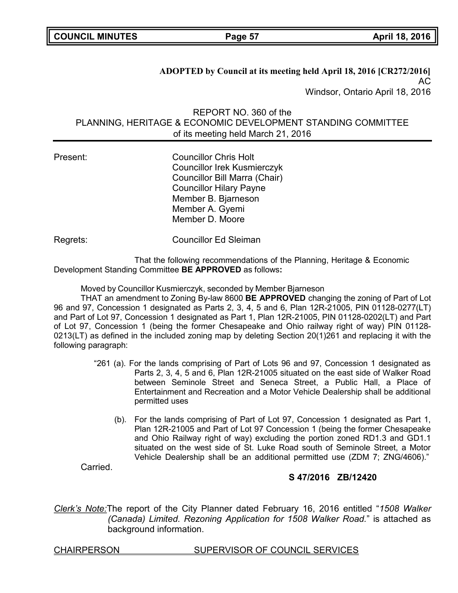**ADOPTED by Council at its meeting held April 18, 2016 [CR272/2016]** AC Windsor, Ontario April 18, 2016

REPORT NO. 360 of the PLANNING, HERITAGE & ECONOMIC DEVELOPMENT STANDING COMMITTEE of its meeting held March 21, 2016

Present: Councillor Chris Holt Councillor Irek Kusmierczyk Councillor Bill Marra (Chair) Councillor Hilary Payne Member B. Bjarneson Member A. Gyemi Member D. Moore

Regrets: Councillor Ed Sleiman

That the following recommendations of the Planning, Heritage & Economic Development Standing Committee **BE APPROVED** as follows**:**

Moved by Councillor Kusmierczyk, seconded by Member Bjarneson

THAT an amendment to Zoning By-law 8600 **BE APPROVED** changing the zoning of Part of Lot 96 and 97, Concession 1 designated as Parts 2, 3, 4, 5 and 6, Plan 12R-21005, PIN 01128-0277(LT) and Part of Lot 97, Concession 1 designated as Part 1, Plan 12R-21005, PIN 01128-0202(LT) and Part of Lot 97, Concession 1 (being the former Chesapeake and Ohio railway right of way) PIN 01128- 0213(LT) as defined in the included zoning map by deleting Section 20(1)261 and replacing it with the following paragraph:

- "261 (a). For the lands comprising of Part of Lots 96 and 97, Concession 1 designated as Parts 2, 3, 4, 5 and 6, Plan 12R-21005 situated on the east side of Walker Road between Seminole Street and Seneca Street, a Public Hall, a Place of Entertainment and Recreation and a Motor Vehicle Dealership shall be additional permitted uses
	- (b). For the lands comprising of Part of Lot 97, Concession 1 designated as Part 1, Plan 12R-21005 and Part of Lot 97 Concession 1 (being the former Chesapeake and Ohio Railway right of way) excluding the portion zoned RD1.3 and GD1.1 situated on the west side of St. Luke Road south of Seminole Street, a Motor Vehicle Dealership shall be an additional permitted use (ZDM 7; ZNG/4606)."

Carried.

# **S 47/2016 ZB/12420**

*Clerk's Note:*The report of the City Planner dated February 16, 2016 entitled "*1508 Walker (Canada) Limited. Rezoning Application for 1508 Walker Road.*" is attached as background information.

#### CHAIRPERSON SUPERVISOR OF COUNCIL SERVICES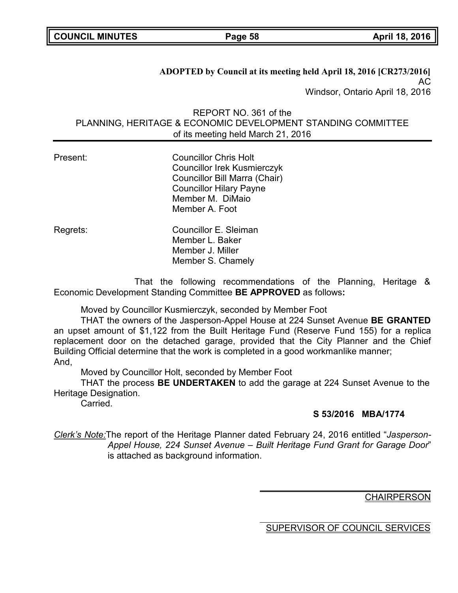**COUNCIL MINUTES Page 58 April 18, 2016**

**ADOPTED by Council at its meeting held April 18, 2016 [CR273/2016]** AC Windsor, Ontario April 18, 2016

REPORT NO. 361 of the PLANNING, HERITAGE & ECONOMIC DEVELOPMENT STANDING COMMITTEE of its meeting held March 21, 2016

| Present: | <b>Councillor Chris Holt</b><br><b>Councillor Irek Kusmierczyk</b><br>Councillor Bill Marra (Chair)<br><b>Councillor Hilary Payne</b><br>Member M. DiMaio<br>Member A. Foot |
|----------|-----------------------------------------------------------------------------------------------------------------------------------------------------------------------------|
| Regrets: | Councillor E. Sleiman<br>Member L. Baker<br>Member J. Miller<br>Member S. Chamely                                                                                           |

That the following recommendations of the Planning, Heritage & Economic Development Standing Committee **BE APPROVED** as follows**:**

Moved by Councillor Kusmierczyk, seconded by Member Foot

THAT the owners of the Jasperson-Appel House at 224 Sunset Avenue **BE GRANTED** an upset amount of \$1,122 from the Built Heritage Fund (Reserve Fund 155) for a replica replacement door on the detached garage, provided that the City Planner and the Chief Building Official determine that the work is completed in a good workmanlike manner; And,

Moved by Councillor Holt, seconded by Member Foot

THAT the process **BE UNDERTAKEN** to add the garage at 224 Sunset Avenue to the Heritage Designation.

Carried.

# **S 53/2016 MBA/1774**

*Clerk's Note:*The report of the Heritage Planner dated February 24, 2016 entitled "*Jasperson-Appel House, 224 Sunset Avenue – Built Heritage Fund Grant for Garage Door*" is attached as background information.

**CHAIRPERSON**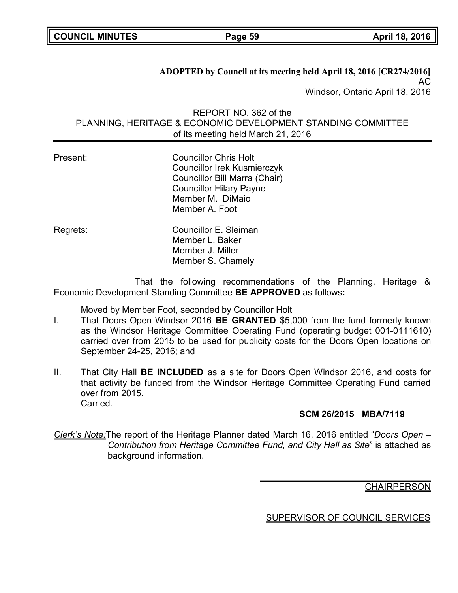**ADOPTED by Council at its meeting held April 18, 2016 [CR274/2016]** AC Windsor, Ontario April 18, 2016

REPORT NO. 362 of the PLANNING, HERITAGE & ECONOMIC DEVELOPMENT STANDING COMMITTEE of its meeting held March 21, 2016

| Present: | <b>Councillor Chris Holt</b><br><b>Councillor Irek Kusmierczyk</b><br>Councillor Bill Marra (Chair)<br><b>Councillor Hilary Payne</b><br>Member M. DiMaio<br>Member A. Foot |
|----------|-----------------------------------------------------------------------------------------------------------------------------------------------------------------------------|
| Regrets: | Councillor E. Sleiman<br>Member L. Baker<br>Member J. Miller<br>Member S. Chamely                                                                                           |

That the following recommendations of the Planning, Heritage & Economic Development Standing Committee **BE APPROVED** as follows**:**

Moved by Member Foot, seconded by Councillor Holt

- I. That Doors Open Windsor 2016 **BE GRANTED** \$5,000 from the fund formerly known as the Windsor Heritage Committee Operating Fund (operating budget 001-0111610) carried over from 2015 to be used for publicity costs for the Doors Open locations on September 24-25, 2016; and
- II. That City Hall **BE INCLUDED** as a site for Doors Open Windsor 2016, and costs for that activity be funded from the Windsor Heritage Committee Operating Fund carried over from 2015. Carried.

# **SCM 26/2015 MBA/7119**

*Clerk's Note:*The report of the Heritage Planner dated March 16, 2016 entitled "*Doors Open – Contribution from Heritage Committee Fund, and City Hall as Site*" is attached as background information.

# **CHAIRPERSON**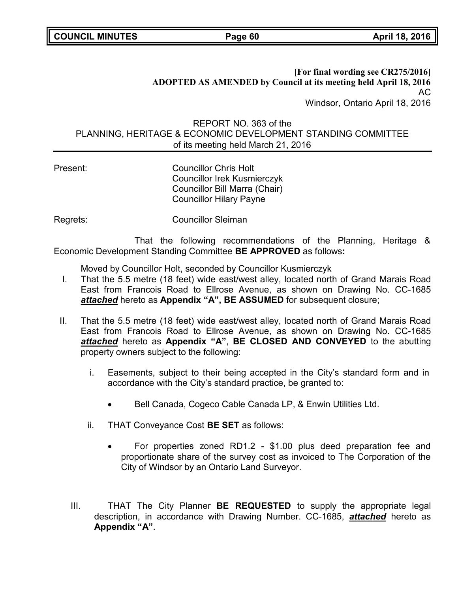### **[For final wording see CR275/2016] ADOPTED AS AMENDED by Council at its meeting held April 18, 2016** AC Windsor, Ontario April 18, 2016

# REPORT NO. 363 of the PLANNING, HERITAGE & ECONOMIC DEVELOPMENT STANDING COMMITTEE of its meeting held March 21, 2016

Present: Councillor Chris Holt Councillor Irek Kusmierczyk Councillor Bill Marra (Chair) Councillor Hilary Payne

Regrets: Councillor Sleiman

That the following recommendations of the Planning, Heritage & Economic Development Standing Committee **BE APPROVED** as follows**:**

Moved by Councillor Holt, seconded by Councillor Kusmierczyk

- I. That the 5.5 metre (18 feet) wide east/west alley, located north of Grand Marais Road East from Francois Road to Ellrose Avenue, as shown on Drawing No. CC-1685 *attached* hereto as **Appendix "A", BE ASSUMED** for subsequent closure;
- II. That the 5.5 metre (18 feet) wide east/west alley, located north of Grand Marais Road East from Francois Road to Ellrose Avenue, as shown on Drawing No. CC-1685 *attached* hereto as **Appendix "A"**, **BE CLOSED AND CONVEYED** to the abutting property owners subject to the following:
	- i. Easements, subject to their being accepted in the City's standard form and in accordance with the City's standard practice, be granted to:
		- Bell Canada, Cogeco Cable Canada LP, & Enwin Utilities Ltd.
	- ii. THAT Conveyance Cost **BE SET** as follows:
		- For properties zoned RD1.2 \$1.00 plus deed preparation fee and proportionate share of the survey cost as invoiced to The Corporation of the City of Windsor by an Ontario Land Surveyor.
	- III. THAT The City Planner **BE REQUESTED** to supply the appropriate legal description, in accordance with Drawing Number. CC-1685, *attached* hereto as **Appendix "A"**.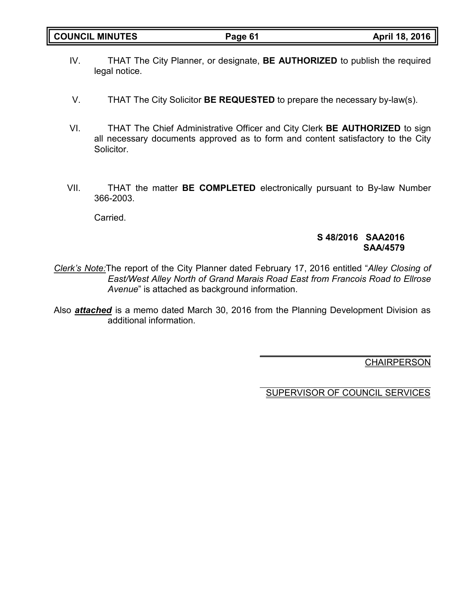- IV. THAT The City Planner, or designate, **BE AUTHORIZED** to publish the required legal notice.
- V. THAT The City Solicitor **BE REQUESTED** to prepare the necessary by-law(s).
- VI. THAT The Chief Administrative Officer and City Clerk **BE AUTHORIZED** to sign all necessary documents approved as to form and content satisfactory to the City Solicitor.
- VII. THAT the matter **BE COMPLETED** electronically pursuant to By-law Number 366-2003.

Carried.

### **S 48/2016 SAA2016 SAA/4579**

- *Clerk's Note:*The report of the City Planner dated February 17, 2016 entitled "*Alley Closing of East/West Alley North of Grand Marais Road East from Francois Road to Ellrose Avenue*" is attached as background information.
- Also *attached* is a memo dated March 30, 2016 from the Planning Development Division as additional information.

**CHAIRPERSON**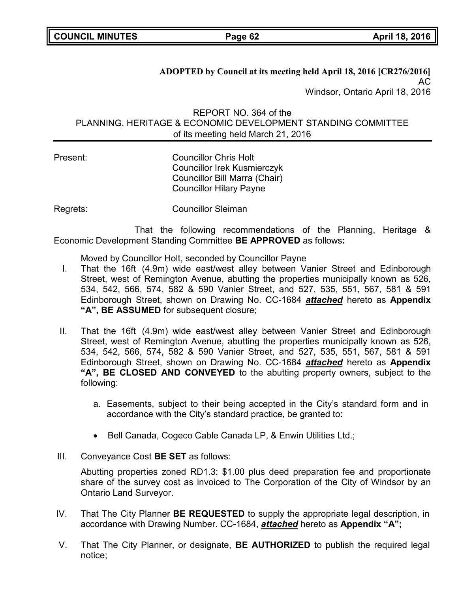**ADOPTED by Council at its meeting held April 18, 2016 [CR276/2016]** AC Windsor, Ontario April 18, 2016

REPORT NO. 364 of the PLANNING, HERITAGE & ECONOMIC DEVELOPMENT STANDING COMMITTEE of its meeting held March 21, 2016

Present: Councillor Chris Holt Councillor Irek Kusmierczyk Councillor Bill Marra (Chair) Councillor Hilary Payne

Regrets: Councillor Sleiman

That the following recommendations of the Planning, Heritage & Economic Development Standing Committee **BE APPROVED** as follows**:**

Moved by Councillor Holt, seconded by Councillor Payne

- I. That the 16ft (4.9m) wide east/west alley between Vanier Street and Edinborough Street, west of Remington Avenue, abutting the properties municipally known as 526, 534, 542, 566, 574, 582 & 590 Vanier Street, and 527, 535, 551, 567, 581 & 591 Edinborough Street, shown on Drawing No. CC-1684 *attached* hereto as **Appendix "A", BE ASSUMED** for subsequent closure;
- II. That the 16ft (4.9m) wide east/west alley between Vanier Street and Edinborough Street, west of Remington Avenue, abutting the properties municipally known as 526, 534, 542, 566, 574, 582 & 590 Vanier Street, and 527, 535, 551, 567, 581 & 591 Edinborough Street, shown on Drawing No. CC-1684 *attached* hereto as **Appendix "A", BE CLOSED AND CONVEYED** to the abutting property owners, subject to the following:
	- a. Easements, subject to their being accepted in the City's standard form and in accordance with the City's standard practice, be granted to:
	- Bell Canada, Cogeco Cable Canada LP, & Enwin Utilities Ltd.;
- III. Conveyance Cost **BE SET** as follows:

Abutting properties zoned RD1.3: \$1.00 plus deed preparation fee and proportionate share of the survey cost as invoiced to The Corporation of the City of Windsor by an Ontario Land Surveyor.

- IV. That The City Planner **BE REQUESTED** to supply the appropriate legal description, in accordance with Drawing Number. CC-1684, *attached* hereto as **Appendix "A";**
- V. That The City Planner, or designate, **BE AUTHORIZED** to publish the required legal notice;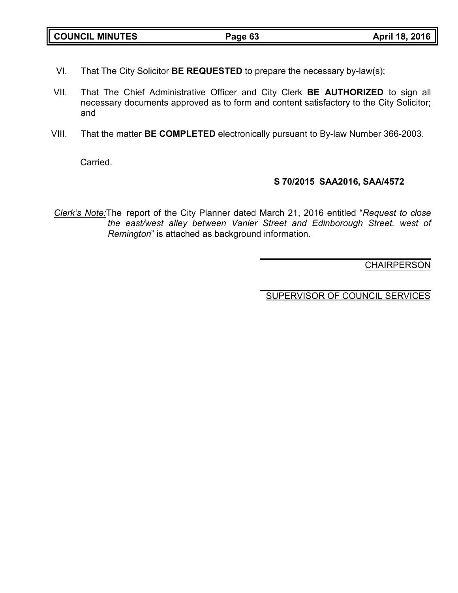| <b>COUNCIL MINUTES</b> | Page 63 | April 18, 2016 |
|------------------------|---------|----------------|

- VI. That The City Solicitor **BE REQUESTED** to prepare the necessary by-law(s);
- VII. That The Chief Administrative Officer and City Clerk **BE AUTHORIZED** to sign all necessary documents approved as to form and content satisfactory to the City Solicitor; and
- VIII. That the matter **BE COMPLETED** electronically pursuant to By-law Number 366-2003.

**Carried** 

# **S 70/2015 SAA2016, SAA/4572**

*Clerk's Note:*The report of the City Planner dated March 21, 2016 entitled "*Request to close the east/west alley between Vanier Street and Edinborough Street, west of Remington*" is attached as background information.

**CHAIRPERSON**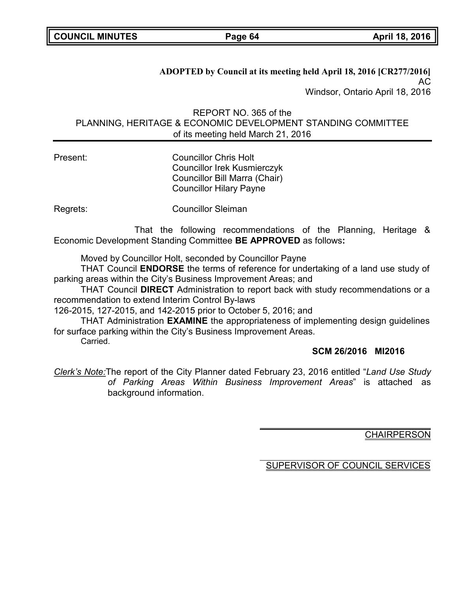**ADOPTED by Council at its meeting held April 18, 2016 [CR277/2016]** AC Windsor, Ontario April 18, 2016

REPORT NO. 365 of the PLANNING, HERITAGE & ECONOMIC DEVELOPMENT STANDING COMMITTEE of its meeting held March 21, 2016

Present: Councillor Chris Holt Councillor Irek Kusmierczyk Councillor Bill Marra (Chair) Councillor Hilary Payne

Regrets: Councillor Sleiman

That the following recommendations of the Planning, Heritage & Economic Development Standing Committee **BE APPROVED** as follows**:**

Moved by Councillor Holt, seconded by Councillor Payne

THAT Council **ENDORSE** the terms of reference for undertaking of a land use study of parking areas within the City's Business Improvement Areas; and

THAT Council **DIRECT** Administration to report back with study recommendations or a recommendation to extend Interim Control By-laws

126-2015, 127-2015, and 142-2015 prior to October 5, 2016; and

THAT Administration **EXAMINE** the appropriateness of implementing design guidelines for surface parking within the City's Business Improvement Areas. Carried.

# **SCM 26/2016 MI2016**

*Clerk's Note:*The report of the City Planner dated February 23, 2016 entitled "*Land Use Study of Parking Areas Within Business Improvement Areas*" is attached as background information.

**CHAIRPERSON**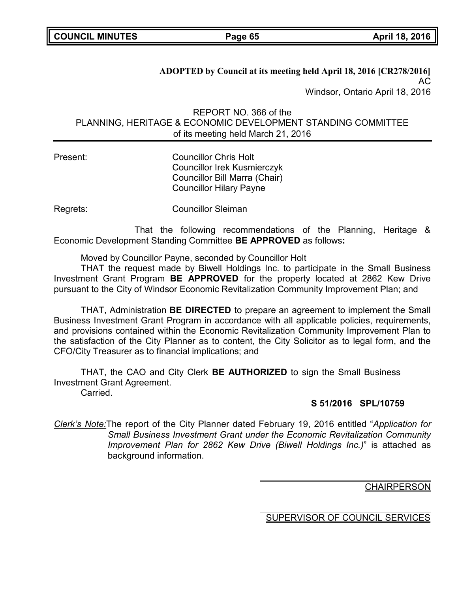**ADOPTED by Council at its meeting held April 18, 2016 [CR278/2016]** AC Windsor, Ontario April 18, 2016

REPORT NO. 366 of the PLANNING, HERITAGE & ECONOMIC DEVELOPMENT STANDING COMMITTEE of its meeting held March 21, 2016

Present: Councillor Chris Holt Councillor Irek Kusmierczyk Councillor Bill Marra (Chair) Councillor Hilary Payne

Regrets: Councillor Sleiman

That the following recommendations of the Planning, Heritage & Economic Development Standing Committee **BE APPROVED** as follows**:**

Moved by Councillor Payne, seconded by Councillor Holt

THAT the request made by Biwell Holdings Inc. to participate in the Small Business Investment Grant Program **BE APPROVED** for the property located at 2862 Kew Drive pursuant to the City of Windsor Economic Revitalization Community Improvement Plan; and

THAT, Administration **BE DIRECTED** to prepare an agreement to implement the Small Business Investment Grant Program in accordance with all applicable policies, requirements, and provisions contained within the Economic Revitalization Community Improvement Plan to the satisfaction of the City Planner as to content, the City Solicitor as to legal form, and the CFO/City Treasurer as to financial implications; and

THAT, the CAO and City Clerk **BE AUTHORIZED** to sign the Small Business Investment Grant Agreement.

Carried.

# **S 51/2016 SPL/10759**

*Clerk's Note:*The report of the City Planner dated February 19, 2016 entitled "*Application for Small Business Investment Grant under the Economic Revitalization Community Improvement Plan for 2862 Kew Drive (Biwell Holdings Inc.)*" is attached as background information.

**CHAIRPERSON**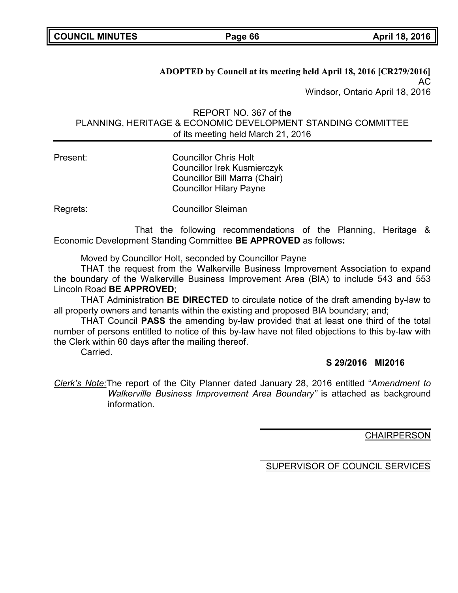**ADOPTED by Council at its meeting held April 18, 2016 [CR279/2016]** AC Windsor, Ontario April 18, 2016

REPORT NO. 367 of the PLANNING, HERITAGE & ECONOMIC DEVELOPMENT STANDING COMMITTEE of its meeting held March 21, 2016

Present: Councillor Chris Holt Councillor Irek Kusmierczyk Councillor Bill Marra (Chair) Councillor Hilary Payne

Regrets: Councillor Sleiman

That the following recommendations of the Planning, Heritage & Economic Development Standing Committee **BE APPROVED** as follows**:**

Moved by Councillor Holt, seconded by Councillor Payne

THAT the request from the Walkerville Business Improvement Association to expand the boundary of the Walkerville Business Improvement Area (BIA) to include 543 and 553 Lincoln Road **BE APPROVED**;

THAT Administration **BE DIRECTED** to circulate notice of the draft amending by-law to all property owners and tenants within the existing and proposed BIA boundary; and;

THAT Council **PASS** the amending by-law provided that at least one third of the total number of persons entitled to notice of this by-law have not filed objections to this by-law with the Clerk within 60 days after the mailing thereof.

**Carried** 

# **S 29/2016 MI2016**

*Clerk's Note:*The report of the City Planner dated January 28, 2016 entitled "*Amendment to Walkerville Business Improvement Area Boundary"* is attached as background information.

**CHAIRPERSON**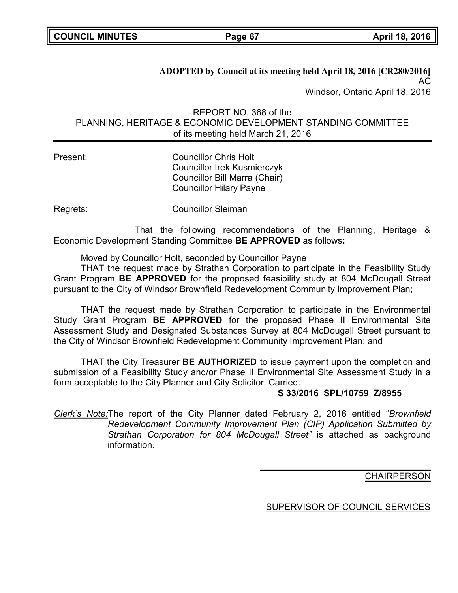**ADOPTED by Council at its meeting held April 18, 2016 [CR280/2016]** AC Windsor, Ontario April 18, 2016

REPORT NO. 368 of the PLANNING, HERITAGE & ECONOMIC DEVELOPMENT STANDING COMMITTEE of its meeting held March 21, 2016

Present: Councillor Chris Holt Councillor Irek Kusmierczyk Councillor Bill Marra (Chair) Councillor Hilary Payne

Regrets: Councillor Sleiman

That the following recommendations of the Planning, Heritage & Economic Development Standing Committee **BE APPROVED** as follows**:**

Moved by Councillor Holt, seconded by Councillor Payne

THAT the request made by Strathan Corporation to participate in the Feasibility Study Grant Program **BE APPROVED** for the proposed feasibility study at 804 McDougall Street pursuant to the City of Windsor Brownfield Redevelopment Community Improvement Plan;

THAT the request made by Strathan Corporation to participate in the Environmental Study Grant Program **BE APPROVED** for the proposed Phase II Environmental Site Assessment Study and Designated Substances Survey at 804 McDougall Street pursuant to the City of Windsor Brownfield Redevelopment Community Improvement Plan; and

THAT the City Treasurer **BE AUTHORIZED** to issue payment upon the completion and submission of a Feasibility Study and/or Phase II Environmental Site Assessment Study in a form acceptable to the City Planner and City Solicitor. Carried.

# **S 33/2016 SPL/10759 Z/8955**

*Clerk's Note:*The report of the City Planner dated February 2, 2016 entitled "*Brownfield Redevelopment Community Improvement Plan (CIP) Application Submitted by Strathan Corporation for 804 McDougall Street"* is attached as background information.

**CHAIRPERSON**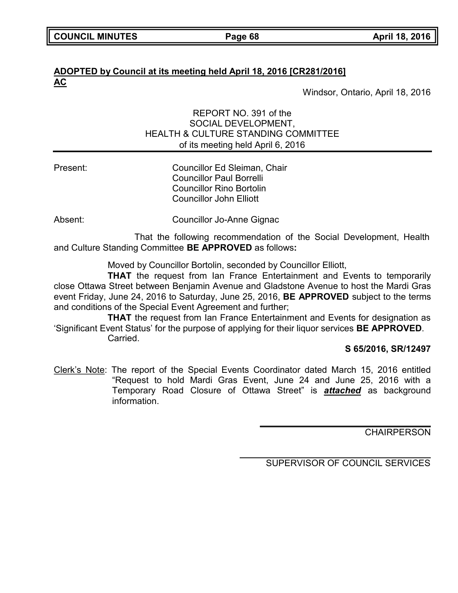# **ADOPTED by Council at its meeting held April 18, 2016 [CR281/2016] AC**

Windsor, Ontario, April 18, 2016

# REPORT NO. 391 of the SOCIAL DEVELOPMENT, HEALTH & CULTURE STANDING COMMITTEE of its meeting held April 6, 2016

Present: Councillor Ed Sleiman, Chair Councillor Paul Borrelli Councillor Rino Bortolin Councillor John Elliott

Absent: Councillor Jo-Anne Gignac

That the following recommendation of the Social Development, Health and Culture Standing Committee **BE APPROVED** as follows**:**

Moved by Councillor Bortolin, seconded by Councillor Elliott,

**THAT** the request from Ian France Entertainment and Events to temporarily close Ottawa Street between Benjamin Avenue and Gladstone Avenue to host the Mardi Gras event Friday, June 24, 2016 to Saturday, June 25, 2016, **BE APPROVED** subject to the terms and conditions of the Special Event Agreement and further;

**THAT** the request from Ian France Entertainment and Events for designation as 'Significant Event Status' for the purpose of applying for their liquor services **BE APPROVED**. **Carried** 

**S 65/2016, SR/12497**

Clerk's Note: The report of the Special Events Coordinator dated March 15, 2016 entitled "Request to hold Mardi Gras Event, June 24 and June 25, 2016 with a Temporary Road Closure of Ottawa Street" is *attached* as background information.

**CHAIRPERSON**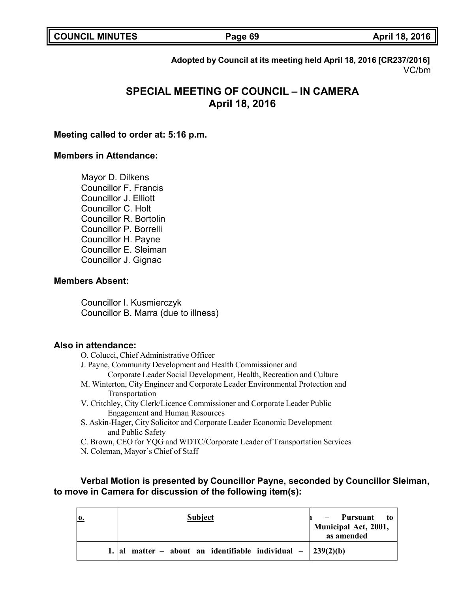|  | <b>COUNCIL MINUTES</b> |
|--|------------------------|
|--|------------------------|

**COUNCIL MINUTES Page 69 April 18, 2016**

**Adopted by Council at its meeting held April 18, 2016 [CR237/2016]** VC/bm

# **SPECIAL MEETING OF COUNCIL – IN CAMERA April 18, 2016**

#### **Meeting called to order at: 5:16 p.m.**

#### **Members in Attendance:**

Mayor D. Dilkens Councillor F. Francis Councillor J. Elliott Councillor C. Holt Councillor R. Bortolin Councillor P. Borrelli Councillor H. Payne Councillor E. Sleiman Councillor J. Gignac

#### **Members Absent:**

Councillor I. Kusmierczyk Councillor B. Marra (due to illness)

#### **Also in attendance:**

- O. Colucci, Chief Administrative Officer
- J. Payne, Community Development and Health Commissioner and Corporate Leader Social Development, Health, Recreation and Culture
- M. Winterton, City Engineer and Corporate Leader Environmental Protection and Transportation
- V. Critchley, City Clerk/Licence Commissioner and Corporate Leader Public Engagement and Human Resources
- S. Askin-Hager, City Solicitor and Corporate Leader Economic Development and Public Safety
- C. Brown, CEO for YQG and WDTC/Corporate Leader of Transportation Services
- N. Coleman, Mayor's Chief of Staff

### **Verbal Motion is presented by Councillor Payne, seconded by Councillor Sleiman, to move in Camera for discussion of the following item(s):**

|  | Subject                                                      | Pursuant to<br>Municipal Act, 2001,<br>as amended |
|--|--------------------------------------------------------------|---------------------------------------------------|
|  | matter – about an identifiable individual – $\int 239(2)(b)$ |                                                   |